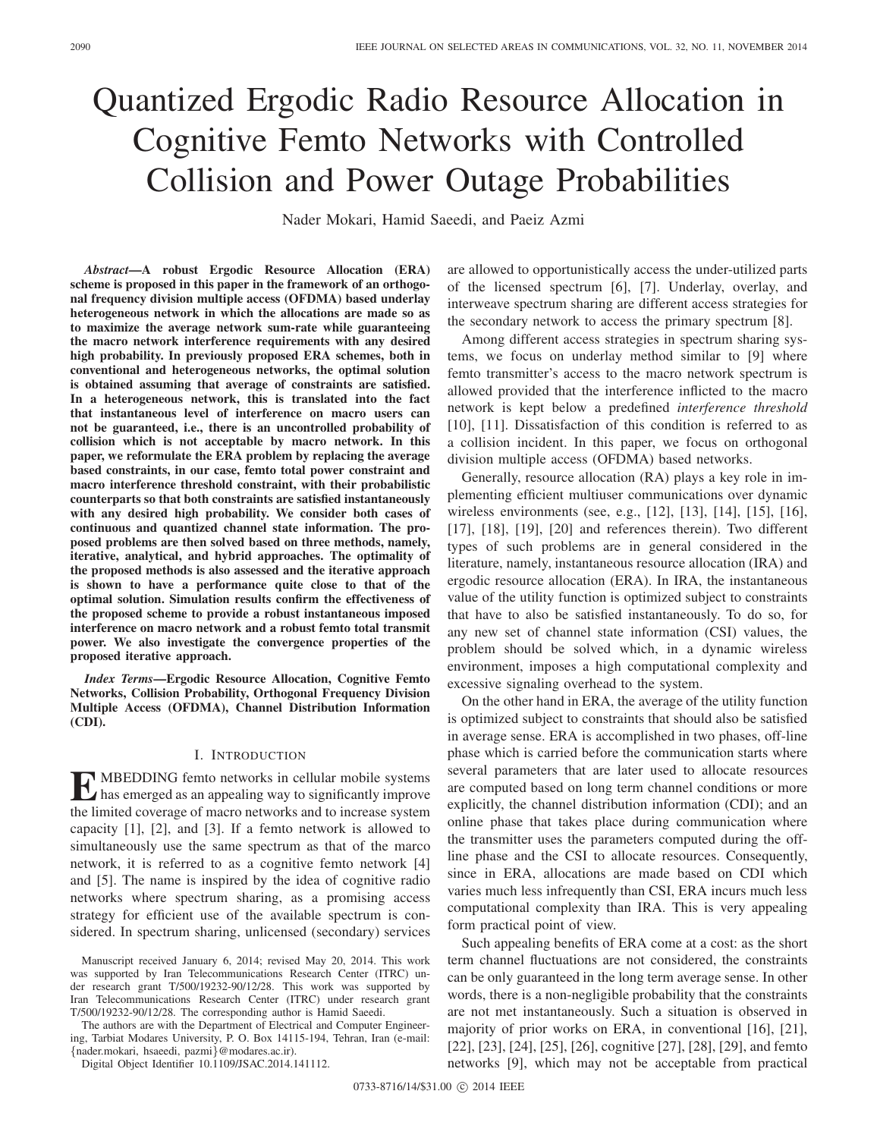# Quantized Ergodic Radio Resource Allocation in Cognitive Femto Networks with Controlled Collision and Power Outage Probabilities

Nader Mokari, Hamid Saeedi, and Paeiz Azmi

*Abstract*—A robust Ergodic Resource Allocation (ERA) scheme is proposed in this paper in the framework of an orthogonal frequency division multiple access (OFDMA) based underlay heterogeneous network in which the allocations are made so as to maximize the average network sum-rate while guaranteeing the macro network interference requirements with any desired high probability. In previously proposed ERA schemes, both in conventional and heterogeneous networks, the optimal solution is obtained assuming that average of constraints are satisfied. In a heterogeneous network, this is translated into the fact that instantaneous level of interference on macro users can not be guaranteed, i.e., there is an uncontrolled probability of collision which is not acceptable by macro network. In this paper, we reformulate the ERA problem by replacing the average based constraints, in our case, femto total power constraint and macro interference threshold constraint, with their probabilistic counterparts so that both constraints are satisfied instantaneously with any desired high probability. We consider both cases of continuous and quantized channel state information. The proposed problems are then solved based on three methods, namely, iterative, analytical, and hybrid approaches. The optimality of the proposed methods is also assessed and the iterative approach is shown to have a performance quite close to that of the optimal solution. Simulation results confirm the effectiveness of the proposed scheme to provide a robust instantaneous imposed interference on macro network and a robust femto total transmit power. We also investigate the convergence properties of the proposed iterative approach.

*Index Terms*—Ergodic Resource Allocation, Cognitive Femto Networks, Collision Probability, Orthogonal Frequency Division Multiple Access (OFDMA), Channel Distribution Information (CDI).

#### I. INTRODUCTION

**EXABEDDING femto networks in cellular mobile systems**<br>has emerged as an appealing way to significantly improve the limited coverage of macro networks and to increase system capacity [1], [2], and [3]. If a femto network is allowed to simultaneously use the same spectrum as that of the marco network, it is referred to as a cognitive femto network [4] and [5]. The name is inspired by the idea of cognitive radio networks where spectrum sharing, as a promising access strategy for efficient use of the available spectrum is considered. In spectrum sharing, unlicensed (secondary) services

The authors are with the Department of Electrical and Computer Engineering, Tarbiat Modares University, P. O. Box 14115-194, Tehran, Iran (e-mail: {nader.mokari, hsaeedi, pazmi}@modares.ac.ir).

Digital Object Identifier 10.1109/JSAC.2014.141112.

are allowed to opportunistically access the under-utilized parts of the licensed spectrum [6], [7]. Underlay, overlay, and interweave spectrum sharing are different access strategies for the secondary network to access the primary spectrum [8].

Among different access strategies in spectrum sharing systems, we focus on underlay method similar to [9] where femto transmitter's access to the macro network spectrum is allowed provided that the interference inflicted to the macro network is kept below a predefined *interference threshold* [10], [11]. Dissatisfaction of this condition is referred to as a collision incident. In this paper, we focus on orthogonal division multiple access (OFDMA) based networks.

Generally, resource allocation (RA) plays a key role in implementing efficient multiuser communications over dynamic wireless environments (see, e.g., [12], [13], [14], [15], [16], [17], [18], [19], [20] and references therein). Two different types of such problems are in general considered in the literature, namely, instantaneous resource allocation (IRA) and ergodic resource allocation (ERA). In IRA, the instantaneous value of the utility function is optimized subject to constraints that have to also be satisfied instantaneously. To do so, for any new set of channel state information (CSI) values, the problem should be solved which, in a dynamic wireless environment, imposes a high computational complexity and excessive signaling overhead to the system.

On the other hand in ERA, the average of the utility function is optimized subject to constraints that should also be satisfied in average sense. ERA is accomplished in two phases, off-line phase which is carried before the communication starts where several parameters that are later used to allocate resources are computed based on long term channel conditions or more explicitly, the channel distribution information (CDI); and an online phase that takes place during communication where the transmitter uses the parameters computed during the offline phase and the CSI to allocate resources. Consequently, since in ERA, allocations are made based on CDI which varies much less infrequently than CSI, ERA incurs much less computational complexity than IRA. This is very appealing form practical point of view.

Such appealing benefits of ERA come at a cost: as the short term channel fluctuations are not considered, the constraints can be only guaranteed in the long term average sense. In other words, there is a non-negligible probability that the constraints are not met instantaneously. Such a situation is observed in majority of prior works on ERA, in conventional [16], [21], [22], [23], [24], [25], [26], cognitive [27], [28], [29], and femto networks [9], which may not be acceptable from practical

Manuscript received January 6, 2014; revised May 20, 2014. This work was supported by Iran Telecommunications Research Center (ITRC) under research grant T/500/19232-90/12/28. This work was supported by Iran Telecommunications Research Center (ITRC) under research grant T/500/19232-90/12/28. The corresponding author is Hamid Saeedi.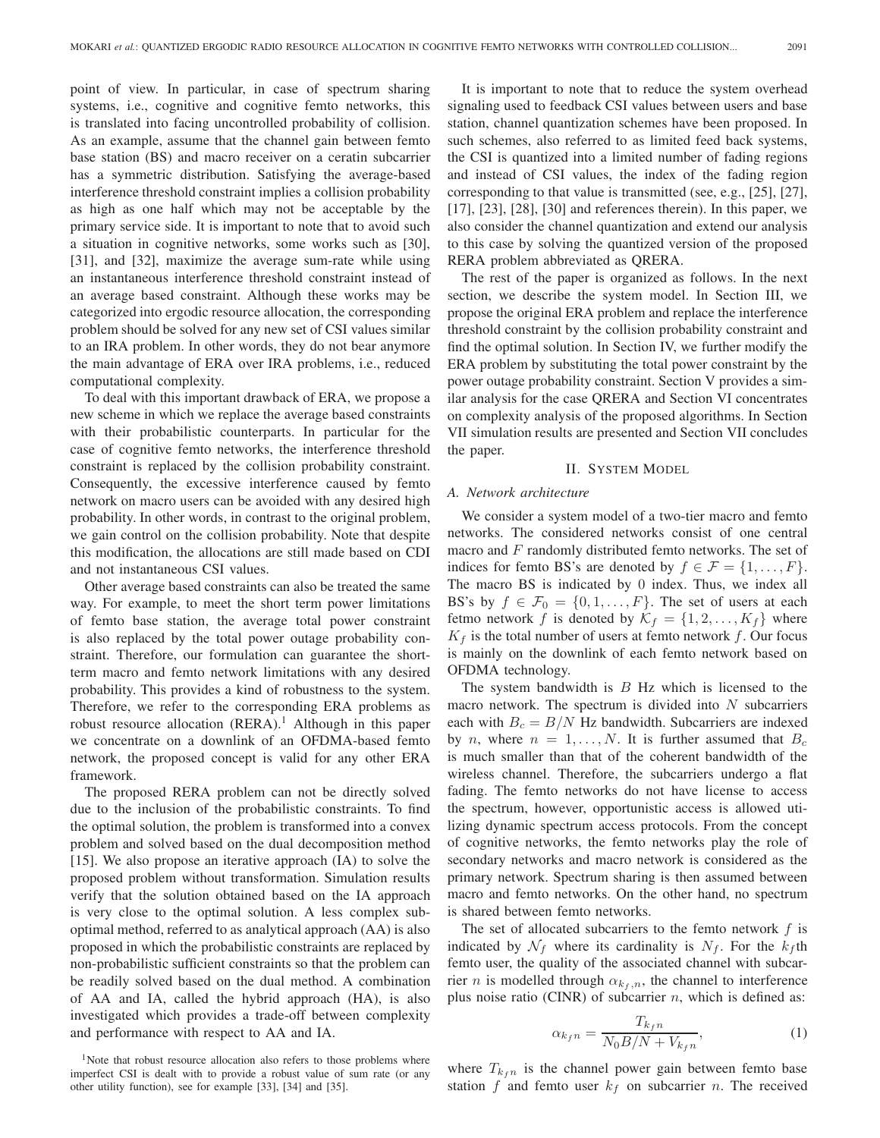point of view. In particular, in case of spectrum sharing systems, i.e., cognitive and cognitive femto networks, this is translated into facing uncontrolled probability of collision. As an example, assume that the channel gain between femto base station (BS) and macro receiver on a ceratin subcarrier has a symmetric distribution. Satisfying the average-based interference threshold constraint implies a collision probability as high as one half which may not be acceptable by the primary service side. It is important to note that to avoid such a situation in cognitive networks, some works such as [30], [31], and [32], maximize the average sum-rate while using an instantaneous interference threshold constraint instead of an average based constraint. Although these works may be categorized into ergodic resource allocation, the corresponding problem should be solved for any new set of CSI values similar to an IRA problem. In other words, they do not bear anymore the main advantage of ERA over IRA problems, i.e., reduced computational complexity.

To deal with this important drawback of ERA, we propose a new scheme in which we replace the average based constraints with their probabilistic counterparts. In particular for the case of cognitive femto networks, the interference threshold constraint is replaced by the collision probability constraint. Consequently, the excessive interference caused by femto network on macro users can be avoided with any desired high probability. In other words, in contrast to the original problem, we gain control on the collision probability. Note that despite this modification, the allocations are still made based on CDI and not instantaneous CSI values.

Other average based constraints can also be treated the same way. For example, to meet the short term power limitations of femto base station, the average total power constraint is also replaced by the total power outage probability constraint. Therefore, our formulation can guarantee the shortterm macro and femto network limitations with any desired probability. This provides a kind of robustness to the system. Therefore, we refer to the corresponding ERA problems as robust resource allocation  $(RERA)^1$ . Although in this paper we concentrate on a downlink of an OFDMA-based femto network, the proposed concept is valid for any other ERA framework.

The proposed RERA problem can not be directly solved due to the inclusion of the probabilistic constraints. To find the optimal solution, the problem is transformed into a convex problem and solved based on the dual decomposition method [15]. We also propose an iterative approach (IA) to solve the proposed problem without transformation. Simulation results verify that the solution obtained based on the IA approach is very close to the optimal solution. A less complex suboptimal method, referred to as analytical approach (AA) is also proposed in which the probabilistic constraints are replaced by non-probabilistic sufficient constraints so that the problem can be readily solved based on the dual method. A combination of AA and IA, called the hybrid approach (HA), is also investigated which provides a trade-off between complexity and performance with respect to AA and IA.

It is important to note that to reduce the system overhead signaling used to feedback CSI values between users and base station, channel quantization schemes have been proposed. In such schemes, also referred to as limited feed back systems, the CSI is quantized into a limited number of fading regions and instead of CSI values, the index of the fading region corresponding to that value is transmitted (see, e.g., [25], [27], [17], [23], [28], [30] and references therein). In this paper, we also consider the channel quantization and extend our analysis to this case by solving the quantized version of the proposed RERA problem abbreviated as QRERA.

The rest of the paper is organized as follows. In the next section, we describe the system model. In Section III, we propose the original ERA problem and replace the interference threshold constraint by the collision probability constraint and find the optimal solution. In Section IV, we further modify the ERA problem by substituting the total power constraint by the power outage probability constraint. Section V provides a similar analysis for the case QRERA and Section VI concentrates on complexity analysis of the proposed algorithms. In Section VII simulation results are presented and Section VII concludes the paper.

## II. SYSTEM MODEL

#### *A. Network architecture*

We consider a system model of a two-tier macro and femto networks. The considered networks consist of one central macro and  $F$  randomly distributed femto networks. The set of indices for femto BS's are denoted by  $f \in \mathcal{F} = \{1, \ldots, F\}.$ The macro BS is indicated by 0 index. Thus, we index all BS's by  $f \in \mathcal{F}_0 = \{0, 1, \ldots, F\}$ . The set of users at each fetmo network f is denoted by  $\mathcal{K}_f = \{1, 2, ..., K_f\}$  where  $K_f$  is the total number of users at femto network f. Our focus is mainly on the downlink of each femto network based on OFDMA technology.

The system bandwidth is  $B$  Hz which is licensed to the macro network. The spectrum is divided into  $N$  subcarriers each with  $B_c = B/N$  Hz bandwidth. Subcarriers are indexed by *n*, where  $n = 1, \ldots, N$ . It is further assumed that  $B_c$ is much smaller than that of the coherent bandwidth of the wireless channel. Therefore, the subcarriers undergo a flat fading. The femto networks do not have license to access the spectrum, however, opportunistic access is allowed utilizing dynamic spectrum access protocols. From the concept of cognitive networks, the femto networks play the role of secondary networks and macro network is considered as the primary network. Spectrum sharing is then assumed between macro and femto networks. On the other hand, no spectrum is shared between femto networks.

The set of allocated subcarriers to the femto network  $f$  is indicated by  $\mathcal{N}_f$  where its cardinality is  $N_f$ . For the  $k_f$ th femto user, the quality of the associated channel with subcarrier *n* is modelled through  $\alpha_{k}$ , the channel to interference plus noise ratio (CINR) of subcarrier  $n$ , which is defined as:

$$
\alpha_{k_f n} = \frac{T_{k_f n}}{N_0 B/N + V_{k_f n}},\tag{1}
$$

where  $T_{k_f n}$  is the channel power gain between femto base station f and femto user  $k_f$  on subcarrier n. The received

<sup>&</sup>lt;sup>1</sup>Note that robust resource allocation also refers to those problems where imperfect CSI is dealt with to provide a robust value of sum rate (or any other utility function), see for example [33], [34] and [35].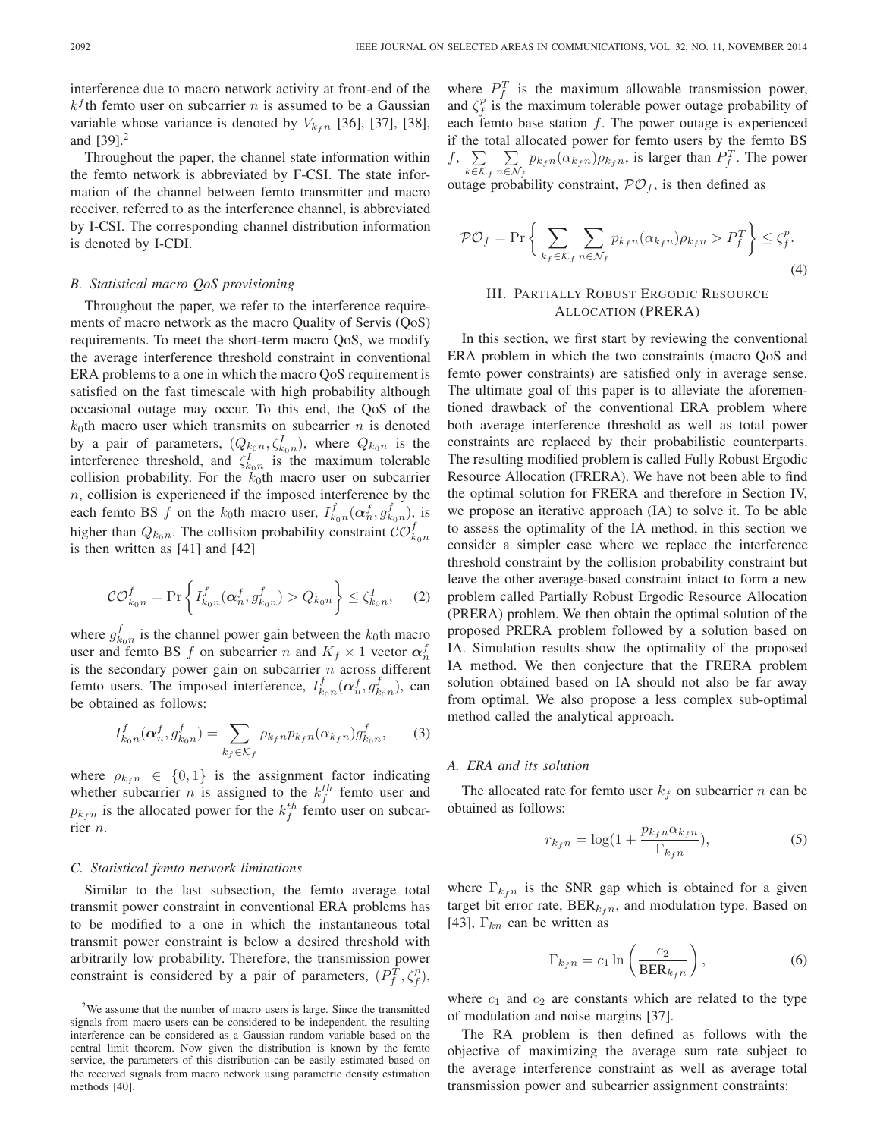interference due to macro network activity at front-end of the  $k<sup>f</sup>$ th femto user on subcarrier n is assumed to be a Gaussian variable whose variance is denoted by  $V_{k,n}$  [36], [37], [38], and [39].<sup>2</sup>

Throughout the paper, the channel state information within the femto network is abbreviated by F-CSI. The state information of the channel between femto transmitter and macro receiver, referred to as the interference channel, is abbreviated by I-CSI. The corresponding channel distribution information is denoted by I-CDI.

# *B. Statistical macro QoS provisioning*

Throughout the paper, we refer to the interference requirements of macro network as the macro Quality of Servis (QoS) requirements. To meet the short-term macro QoS, we modify the average interference threshold constraint in conventional ERA problems to a one in which the macro QoS requirement is satisfied on the fast timescale with high probability although occasional outage may occur. To this end, the QoS of the  $k_0$ th macro user which transmits on subcarrier n is denoted by a pair of parameters,  $(Q_{k_0n}, \zeta_{k_0n}^I)$ , where  $Q_{k_0n}$  is the interference threshold and  $\zeta^I$  is the maximum tolerable interference threshold, and  $\zeta_{k_0n}^I$  is the maximum tolerable collision probability. For the  $k_0$ th macro user on subcarrier  $n$ , collision is experienced if the imposed interference by the each femto BS f on the k<sub>0</sub>th macro user,  $I_{k_0n}^f(\alpha_n^f, g_{k_0n}^f)$ , is higher than  $Q_{k_0n}$ . The collision probability constraint  $\mathcal{CO}_{k_0n}^f$ is then written as [41] and [42]

$$
\mathcal{CO}_{k_0 n}^f = \Pr \left\{ I_{k_0 n}^f(\boldsymbol{\alpha}_n^f, g_{k_0 n}^f) > Q_{k_0 n} \right\} \le \zeta_{k_0 n}^I, \quad (2)
$$

where  $g_{k_0n}^f$  is the channel power gain between the  $k_0$ th macro user and femto BS f on subcarrier n and  $K_f \times 1$  vector  $\alpha_n^f$ <br>is the secondary power gain on subcarrier n across different is the secondary power gain on subcarrier  $n$  across different femto users. The imposed interference,  $I_{k_0n}^f(\alpha_n^f, g_{k_0n}^f)$ , can be obtained as follows:

$$
I_{k_0n}^f(\boldsymbol{\alpha}_n^f, g_{k_0n}^f) = \sum_{k_f \in \mathcal{K}_f} \rho_{k_fn} p_{k_fn}(\alpha_{k_fn}) g_{k_0n}^f,\tag{3}
$$

where  $\rho_{kfn} \in \{0,1\}$  is the assignment factor indicating whether subcarrier *n* is assigned to the  $k_f^{th}$  femto user and  $p_{k_f n}$  is the allocated power for the  $k_f^{th}$  femto user on subcarrier n.

# *C. Statistical femto network limitations*

Similar to the last subsection, the femto average total transmit power constraint in conventional ERA problems has to be modified to a one in which the instantaneous total transmit power constraint is below a desired threshold with arbitrarily low probability. Therefore, the transmission power constraint is considered by a pair of parameters,  $(P_f^{\hat{T}}, \zeta_f^p)$ ,

where  $P_f^T$  is the maximum allowable transmission power, and  $\zeta_f^p$  is the maximum tolerable power outage probability of each femto base station  $f$ . The power outage is experienced if the total allocated power for femto users by the femto BS  $f, \sum$  $k \in \mathcal{K}_f$  $\sum$  $\sum_{n \in \mathcal{N}_f} p_{k_f n}(\alpha_{k_f n}) \rho_{k_f n}$ , is larger than  $P_f^T$ . The power outage probability constraint,  $PO<sub>f</sub>$ , is then defined as

$$
\mathcal{PO}_f = \Pr\bigg\{\sum_{k_f \in \mathcal{K}_f} \sum_{n \in \mathcal{N}_f} p_{k_f n}(\alpha_{k_f n}) \rho_{k_f n} > P_f^T \bigg\} \le \zeta_f^p. \tag{4}
$$

# III. PARTIALLY ROBUST ERGODIC RESOURCE ALLOCATION (PRERA)

In this section, we first start by reviewing the conventional ERA problem in which the two constraints (macro QoS and femto power constraints) are satisfied only in average sense. The ultimate goal of this paper is to alleviate the aforementioned drawback of the conventional ERA problem where both average interference threshold as well as total power constraints are replaced by their probabilistic counterparts. The resulting modified problem is called Fully Robust Ergodic Resource Allocation (FRERA). We have not been able to find the optimal solution for FRERA and therefore in Section IV, we propose an iterative approach (IA) to solve it. To be able to assess the optimality of the IA method, in this section we consider a simpler case where we replace the interference threshold constraint by the collision probability constraint but leave the other average-based constraint intact to form a new problem called Partially Robust Ergodic Resource Allocation (PRERA) problem. We then obtain the optimal solution of the proposed PRERA problem followed by a solution based on IA. Simulation results show the optimality of the proposed IA method. We then conjecture that the FRERA problem solution obtained based on IA should not also be far away from optimal. We also propose a less complex sub-optimal method called the analytical approach.

# *A. ERA and its solution*

The allocated rate for femto user  $k_f$  on subcarrier n can be obtained as follows:

$$
r_{k_f n} = \log\left(1 + \frac{p_{k_f n} \alpha_{k_f n}}{\Gamma_{k_f n}}\right),\tag{5}
$$

where  $\Gamma_{k+n}$  is the SNR gap which is obtained for a given target bit error rate,  $BER_{k+n}$ , and modulation type. Based on [43],  $\Gamma_{kn}$  can be written as

$$
\Gamma_{k_f n} = c_1 \ln \left( \frac{c_2}{\text{BER}_{k_f n}} \right),\tag{6}
$$

where  $c_1$  and  $c_2$  are constants which are related to the type of modulation and noise margins [37].

The RA problem is then defined as follows with the objective of maximizing the average sum rate subject to the average interference constraint as well as average total transmission power and subcarrier assignment constraints:

<sup>&</sup>lt;sup>2</sup>We assume that the number of macro users is large. Since the transmitted signals from macro users can be considered to be independent, the resulting interference can be considered as a Gaussian random variable based on the central limit theorem. Now given the distribution is known by the femto service, the parameters of this distribution can be easily estimated based on the received signals from macro network using parametric density estimation methods [40].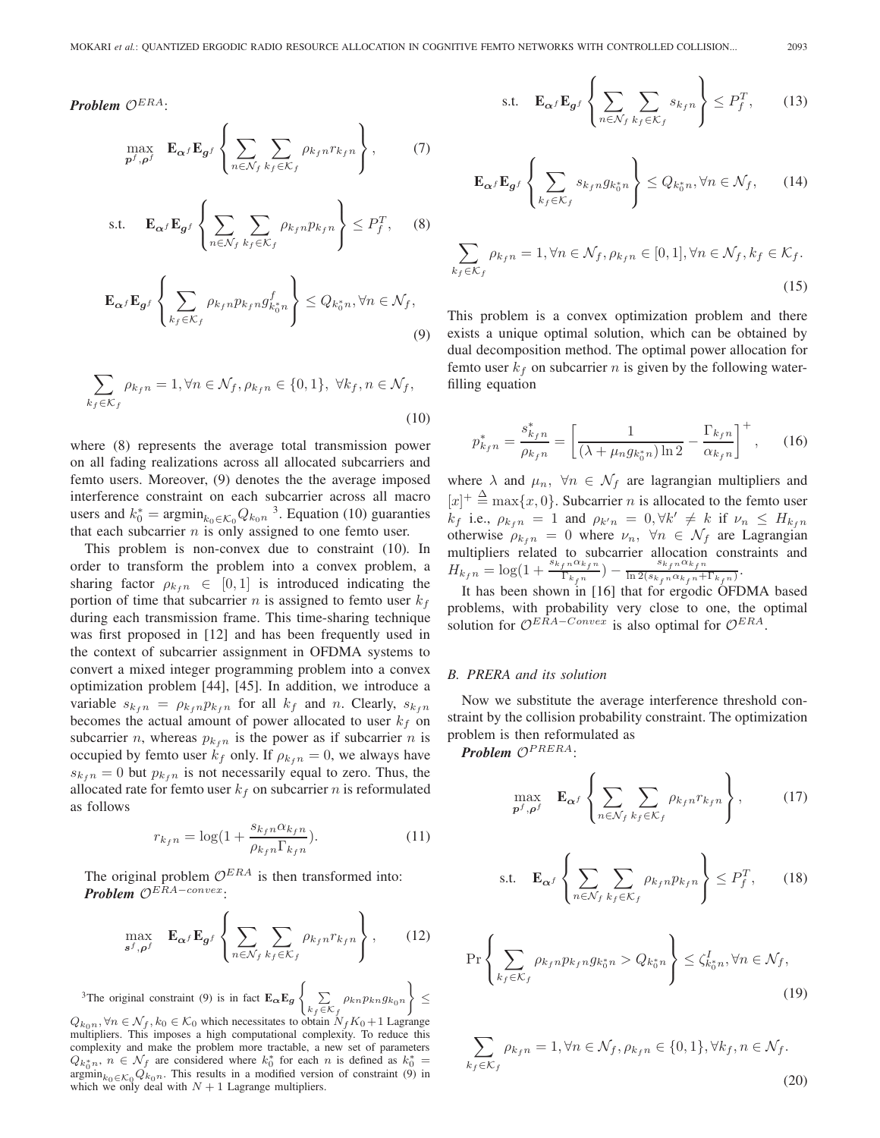*Problem* OERA:

$$
\max_{\mathbf{p}^f, \mathbf{\rho}^f} \mathbf{E}_{\alpha^f} \mathbf{E}_{\mathbf{g}^f} \left\{ \sum_{n \in \mathcal{N}_f} \sum_{k_f \in \mathcal{K}_f} \rho_{k_f n} r_{k_f n} \right\},\tag{7}
$$

$$
\text{s.t.} \quad \mathbf{E}_{\alpha^f} \mathbf{E}_{g^f} \left\{ \sum_{n \in \mathcal{N}_f} \sum_{k_f \in \mathcal{K}_f} \rho_{k_f n} p_{k_f n} \right\} \le P_f^T, \quad (8)
$$

$$
\mathbf{E}_{\alpha^f} \mathbf{E}_{g^f} \left\{ \sum_{k_f \in \mathcal{K}_f} \rho_{k_f n} p_{k_f n} g^f_{k_0^n n} \right\} \le Q_{k_0^n n}, \forall n \in \mathcal{N}_f,
$$
\n(9)

$$
\sum_{k_f \in \mathcal{K}_f} \rho_{k_f n} = 1, \forall n \in \mathcal{N}_f, \rho_{k_f n} \in \{0, 1\}, \ \forall k_f, n \in \mathcal{N}_f,
$$
\n(10)

where (8) represents the average total transmission power on all fading realizations across all allocated subcarriers and femto users. Moreover, (9) denotes the the average imposed interference constraint on each subcarrier across all macro users and  $k_0^* = \operatorname{argmin}_{k_0 \in \mathcal{K}_0} Q_{k_0 n}^{-3}$ . Equation (10) guaranties that each subcarrier *n* is only assigned to one femto user that each subcarrier  $n$  is only assigned to one femto user.

This problem is non-convex due to constraint (10). In order to transform the problem into a convex problem, a sharing factor  $\rho_{k_f n} \in [0, 1]$  is introduced indicating the portion of time that subcarrier *n* is assigned to femto user  $k_f$ during each transmission frame. This time-sharing technique was first proposed in [12] and has been frequently used in the context of subcarrier assignment in OFDMA systems to convert a mixed integer programming problem into a convex optimization problem [44], [45]. In addition, we introduce a variable  $s_{k_f n} = \rho_{k_f n} p_{k_f n}$  for all  $k_f$  and n. Clearly,  $s_{k_f n}$ becomes the actual amount of power allocated to user  $k_f$  on subcarrier n, whereas  $p_{k,n}$  is the power as if subcarrier n is occupied by femto user  $k_f$  only. If  $\rho_{k_f n} = 0$ , we always have  $s_{k+n} = 0$  but  $p_{k+n}$  is not necessarily equal to zero. Thus, the allocated rate for femto user  $k_f$  on subcarrier n is reformulated as follows

$$
r_{kfn} = \log\left(1 + \frac{s_{kfn}\alpha_{kfn}}{\rho_{kfn}\Gamma_{kfn}}\right). \tag{11}
$$

The original problem  $\mathcal{O}^{ERA}$  is then transformed into: *Problem*  $\mathcal{O}^{ERA-conver}$ :

$$
\max_{\mathbf{s}^f, \rho^f} \mathbf{E}_{\alpha^f} \mathbf{E}_{\mathbf{g}^f} \left\{ \sum_{n \in \mathcal{N}_f} \sum_{k_f \in \mathcal{K}_f} \rho_{k_f n} r_{k_f n} \right\}, \qquad (12)
$$

<sup>3</sup>The original constraint (9) is in fact  $\mathbf{E}_{\alpha} \mathbf{E}_{g} \left\{\sum_{k \in \mathbb{Z}^+} \sum_{k \in \mathbb{Z}^+} \mathbf{E}_{g} \right\}$  $k_f \in K_f$ <br>https://www.php.project.project.project.project.project.project.project.project.project.project.project.projec ≤

 $Q_{k_0,n}, \forall n \in \mathcal{N}_f, k_0 \in \mathcal{K}_0$  which necessitates to obtain  $N_f K_0 + 1$  Lagrange multipliers. This imposes a high computational complexity. To reduce this multipliers. This imposes a high computational complexity. To reduce this complexity and make the problem more tractable, a new set of parameters  $Q_{k_0^*n}$ ,  $u \in \mathcal{N}_f$  are considered where  $\kappa_0$  for each  $n$  is defined as  $\kappa_0 =$ <br>argmin<sub>ko</sub><sub>E</sub>  $Q_{k_0n}$ . This results in a modified version of constraint (9) in<br>which we only deal with  $N + 1$  Lagrange multiplie  $\chi_{n}^{*}$ ,  $n \in \mathcal{N}_f$  are considered where  $k_0^*$  for each *n* is defined as  $k_0^* =$ <br>min. ... O. This results in a modified version of constraint (9) in which we only deal with  $N + 1$  Lagrange multipliers.

$$
\text{s.t.} \quad \mathbf{E}_{\alpha^f} \mathbf{E}_{g^f} \left\{ \sum_{n \in \mathcal{N}_f} \sum_{k_f \in \mathcal{K}_f} s_{k_f n} \right\} \le P_f^T, \tag{13}
$$

$$
\mathbf{E}_{\alpha^f} \mathbf{E}_{g^f} \left\{ \sum_{k_f \in \mathcal{K}_f} s_{k_f n} g_{k_0^n n} \right\} \le Q_{k_0^n n}, \forall n \in \mathcal{N}_f, \qquad (14)
$$

$$
\sum_{k_f \in \mathcal{K}_f} \rho_{k_f n} = 1, \forall n \in \mathcal{N}_f, \rho_{k_f n} \in [0, 1], \forall n \in \mathcal{N}_f, k_f \in \mathcal{K}_f.
$$
\n(15)

This problem is a convex optimization problem and there exists a unique optimal solution, which can be obtained by dual decomposition method. The optimal power allocation for femto user  $k_f$  on subcarrier n is given by the following waterfilling equation

$$
p_{k_f n}^* = \frac{s_{k_f n}^*}{\rho_{k_f n}} = \left[ \frac{1}{(\lambda + \mu_n g_{k_0 n}) \ln 2} - \frac{\Gamma_{k_f n}}{\alpha_{k_f n}} \right]^+, \quad (16)
$$

where  $\lambda$  and  $\mu_n$ ,  $\forall n \in \mathcal{N}_f$  are lagrangian multipliers and  $[x]^+ \stackrel{\Delta}{=} \max\{x, 0\}$ . Subcarrier *n* is allocated to the femto user  $k_f$  i.e.,  $\rho_{kfn} = 1$  and  $\rho_{k'n} = 0, \forall k' \neq k$  if  $\nu_n \leq H_{kfn}$ <br>otherwise  $\rho_{kfn} = 0$  where  $\nu_n$ ,  $\forall n \in \mathcal{N}_f$  are Lagrangian otherwise  $\rho_{k_f n} = 0$  where  $\nu_n$ ,  $\forall n \in \mathcal{N}_f$  are Lagrangian<br>multipliers related to subcarrier allocation constraints and<br> $H_{k_f n} = \log(1 + \frac{s_{k_f n} \alpha_{k_f n}}{s_{k_f n}}) - \frac{s_{k_f n} \alpha_{k_f n}}{\ln 2(s_{k_f n} \alpha_{k_f n} + \Gamma_{k_f n})}$ .

It has been shown in [16] that for ergodic OFDMA based problems, with probability very close to one, the optimal solution for  $\mathcal{O}^{E\tilde{R}A-Convez}$  is also optimal for  $\mathcal{O}^{ERA}$ .

#### *B. PRERA and its solution*

Now we substitute the average interference threshold constraint by the collision probability constraint. The optimization problem is then reformulated as

Problem  $\mathcal{O}^{PRERA}$ :

$$
\max_{\mathbf{p}^f, \mathbf{\rho}^f} \quad \mathbf{E}_{\alpha^f} \left\{ \sum_{n \in \mathcal{N}_f} \sum_{k_f \in \mathcal{K}_f} \rho_{k_f n} r_{k_f n} \right\},\tag{17}
$$

$$
\text{s.t.} \quad \mathbf{E}_{\alpha^f} \left\{ \sum_{n \in \mathcal{N}_f} \sum_{k_f \in \mathcal{K}_f} \rho_{k_f n} p_{k_f n} \right\} \le P_f^T, \tag{18}
$$

$$
\Pr\left\{\sum_{k_f \in \mathcal{K}_f} \rho_{k_f n} p_{k_f n} g_{k_0^n n} > Q_{k_0^n n}\right\} \le \zeta_{k_0^n n}^I, \forall n \in \mathcal{N}_f,
$$
\n(19)

$$
\sum_{k_f \in \mathcal{K}_f} \rho_{k_f n} = 1, \forall n \in \mathcal{N}_f, \rho_{k_f n} \in \{0, 1\}, \forall k_f, n \in \mathcal{N}_f.
$$
\n(20)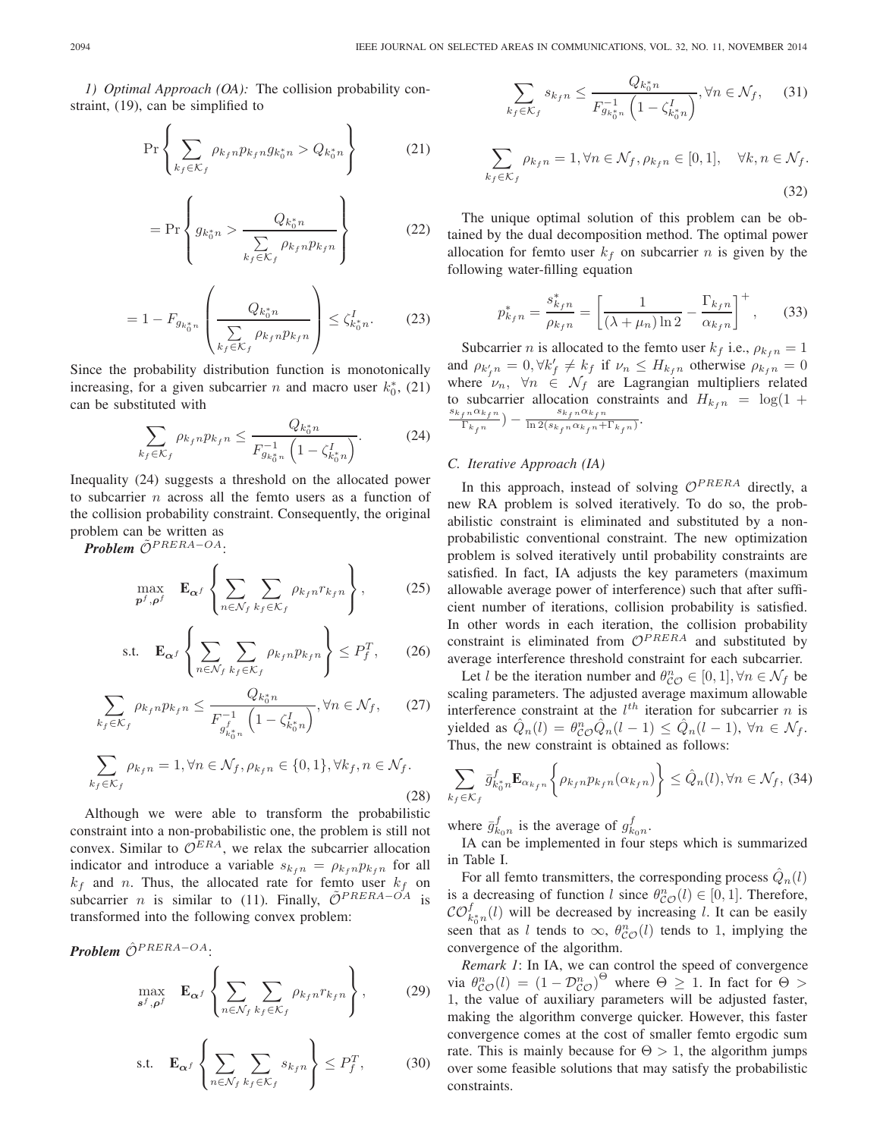*1) Optimal Approach (OA):* The collision probability constraint, (19), can be simplified to

$$
\Pr\left\{\sum_{k_f \in \mathcal{K}_f} \rho_{k_f n} p_{k_f n} g_{k_0^n n} > Q_{k_0^n n}\right\} \tag{21}
$$

$$
= \Pr\left\{ g_{k_0^* n} > \frac{Q_{k_0^* n}}{\sum\limits_{k_f \in \mathcal{K}_f} \rho_{k_f n} p_{k_f n}} \right\}
$$
(22)

$$
= 1 - F_{g_{k_0^n n}} \left( \frac{Q_{k_0^n n}}{\sum_{k_f \in \mathcal{K}_f} \rho_{k_f n} p_{k_f n}} \right) \leq \zeta_{k_0^n n}^I. \tag{23}
$$

Since the probability distribution function is monotonically increasing, for a given subcarrier *n* and macro user  $k_0^*$ , (21) can be substituted with

$$
\sum_{k_f \in \mathcal{K}_f} \rho_{k_f n} p_{k_f n} \le \frac{Q_{k_0 n}^*}{F_{g_{k_0 n}}^{-1} \left(1 - \zeta_{k_0 n}^I\right)}.
$$
 (24)

Inequality (24) suggests a threshold on the allocated power to subcarrier  $n$  across all the femto users as a function of the collision probability constraint. Consequently, the original problem can be written as

*Problem*  $\tilde{O}^{PRERA-OA}$ :

$$
\max_{\mathbf{p}^f, \mathbf{\rho}^f} \quad \mathbf{E}_{\alpha^f} \left\{ \sum_{n \in \mathcal{N}_f} \sum_{k_f \in \mathcal{K}_f} \rho_{k_f n} r_{k_f n} \right\},\tag{25}
$$

$$
\text{s.t.} \quad \mathbf{E}_{\alpha^f} \left\{ \sum_{n \in \mathcal{N}_f} \sum_{k_f \in \mathcal{K}_f} \rho_{k_f n} p_{k_f n} \right\} \le P_f^T, \tag{26}
$$

$$
\sum_{k_f \in \mathcal{K}_f} \rho_{k_f n} p_{k_f n} \le \frac{Q_{k_0 n}^*}{F_{g_{k_0 n}^*}^{-1} \left(1 - \zeta_{k_0 n}^I\right)}, \forall n \in \mathcal{N}_f,
$$
 (27)

$$
\sum_{k_f \in \mathcal{K}_f} \rho_{k_f n} = 1, \forall n \in \mathcal{N}_f, \rho_{k_f n} \in \{0, 1\}, \forall k_f, n \in \mathcal{N}_f.
$$
\n(28)

Although we were able to transform the probabilistic constraint into a non-probabilistic one, the problem is still not convex. Similar to  $\overline{O}^{ERA}$ , we relax the subcarrier allocation indicator and introduce a variable  $s_{k_f n} = \rho_{k_f n} p_{k_f n}$  for all  $k_f$  and n. Thus, the allocated rate for femto user  $k_f$  on subcarrier *n* is similar to (11). Finally,  $\tilde{O}^{PRERA - O'A}$  is transformed into the following convex problem:

*Problem* Ô<sup>PRERA−OA</sup>:

$$
\max_{\mathbf{s}^f, \rho^f} \mathbf{E}_{\alpha^f} \left\{ \sum_{n \in \mathcal{N}_f} \sum_{k_f \in \mathcal{K}_f} \rho_{k_f n} r_{k_f n} \right\},\qquad(29)
$$

$$
\text{s.t.} \quad \mathbf{E}_{\alpha^f} \left\{ \sum_{n \in \mathcal{N}_f} \sum_{k_f \in \mathcal{K}_f} s_{k_f n} \right\} \le P_f^T, \tag{30}
$$

$$
\sum_{k_f \in \mathcal{K}_f} s_{k_f n} \le \frac{Q_{k_0^n n}}{F_{g_{k_0^n n}}^{-1} \left(1 - \zeta_{k_0^n}^I\right)}, \forall n \in \mathcal{N}_f,\tag{31}
$$

$$
\sum_{k_f \in \mathcal{K}_f} \rho_{k_f n} = 1, \forall n \in \mathcal{N}_f, \rho_{k_f n} \in [0, 1], \quad \forall k, n \in \mathcal{N}_f.
$$
\n(32)

The unique optimal solution of this problem can be obtained by the dual decomposition method. The optimal power allocation for femto user  $k_f$  on subcarrier n is given by the following water-filling equation

$$
p_{k_f n}^* = \frac{s_{k_f n}^*}{\rho_{k_f n}} = \left[ \frac{1}{(\lambda + \mu_n) \ln 2} - \frac{\Gamma_{k_f n}}{\alpha_{k_f n}} \right]^+, \qquad (33)
$$

Subcarrier *n* is allocated to the femto user  $k_f$  i.e.,  $\rho_{k_f n} = 1$ and  $\rho_{k_f'n} = 0, \forall k_f' \neq k_f$  if  $\nu_n \leq H_{kfn}$  otherwise  $\rho_{kfn} = 0$ <br>where  $\nu_n$ ,  $\forall n \in \mathcal{N}_f$  are Lagrangian multipliers related to subcarrier allocation constraints and  $H_{k_f n} = \log(1 + \frac{s_{k_f n} \alpha_{k_f n}}{\sum_{r} p_{r}}) - \frac{s_{k_f n} \alpha_{k_f n}}{\sum_{r} p_{r}}$  $\frac{f^{n \alpha_{k_f n}}}{\Gamma_{k_f n}}$ ) –  $\frac{s_{k_f n} \alpha_{k_f n}}{\ln 2(s_{k_f n} \alpha_{k_f n} + \Gamma_{k_f n})}$ .

## *C. Iterative Approach (IA)*

In this approach, instead of solving  $\mathcal{O}^{PRERA}$  directly, a new RA problem is solved iteratively. To do so, the probabilistic constraint is eliminated and substituted by a nonprobabilistic conventional constraint. The new optimization problem is solved iteratively until probability constraints are satisfied. In fact, IA adjusts the key parameters (maximum allowable average power of interference) such that after sufficient number of iterations, collision probability is satisfied. In other words in each iteration, the collision probability constraint is eliminated from  $\mathcal{O}^{PRERA}$  and substituted by average interference threshold constraint for each subcarrier.

Let *l* be the iteration number and  $\theta_{CO}^n \in [0, 1], \forall n \in \mathcal{N}_f$  be<br>aling parameters. The adjusted average maximum allowable scaling parameters. The adjusted average maximum allowable interference constraint at the  $l^{th}$  iteration for subcarrier n is yielded as  $\hat{Q}_n(l) = \theta_{C\hat{C}}^n \hat{Q}_n(l-1) \leq \hat{Q}_n(l-1)$ ,  $\forall n \in \mathcal{N}_f$ .<br>Thus the new constraint is obtained as follows: Thus, the new constraint is obtained as follows:

$$
\sum_{k_f \in \mathcal{K}_f} \bar{g}_{k_0 n}^f \mathbf{E}_{\alpha_{k_f n}} \bigg\{ \rho_{k_f n} p_{k_f n}(\alpha_{k_f n}) \bigg\} \le \hat{Q}_n(l), \forall n \in \mathcal{N}_f, (34)
$$

where  $\bar{g}_{k_0n}^f$  is the average of  $g_{k_0n}^f$ .<br>
IA can be implemented in four

IA can be implemented in four steps which is summarized in Table I.

For all femto transmitters, the corresponding process  $Q_n(l)$ is a decreasing of function l since  $\theta_{CO}^n(l) \in [0, 1]$ . Therefore,  $\mathcal{CO}_{k_0^*n}^{f}(l)$  will be decreased by increasing l. It can be easily seen that as l tends to  $\infty$ ,  $\theta_{C}^n(t)$  tends to 1, implying the convergence of the algorithm convergence of the algorithm.

*Remark 1*: In IA, we can control the speed of convergence via  $\theta_{CO}^n(l) = (1 - \mathcal{D}_{CO}^n)^{\Theta}$  where  $\Theta \geq 1$ . In fact for  $\Theta > 1$  the value of auxiliary parameters will be adjusted faster 1, the value of auxiliary parameters will be adjusted faster,<br>making the algorithm converge quicker. However, this faster making the algorithm converge quicker. However, this faster convergence comes at the cost of smaller femto ergodic sum rate. This is mainly because for  $\Theta > 1$ , the algorithm jumps over some feasible solutions that may satisfy the probabilistic constraints.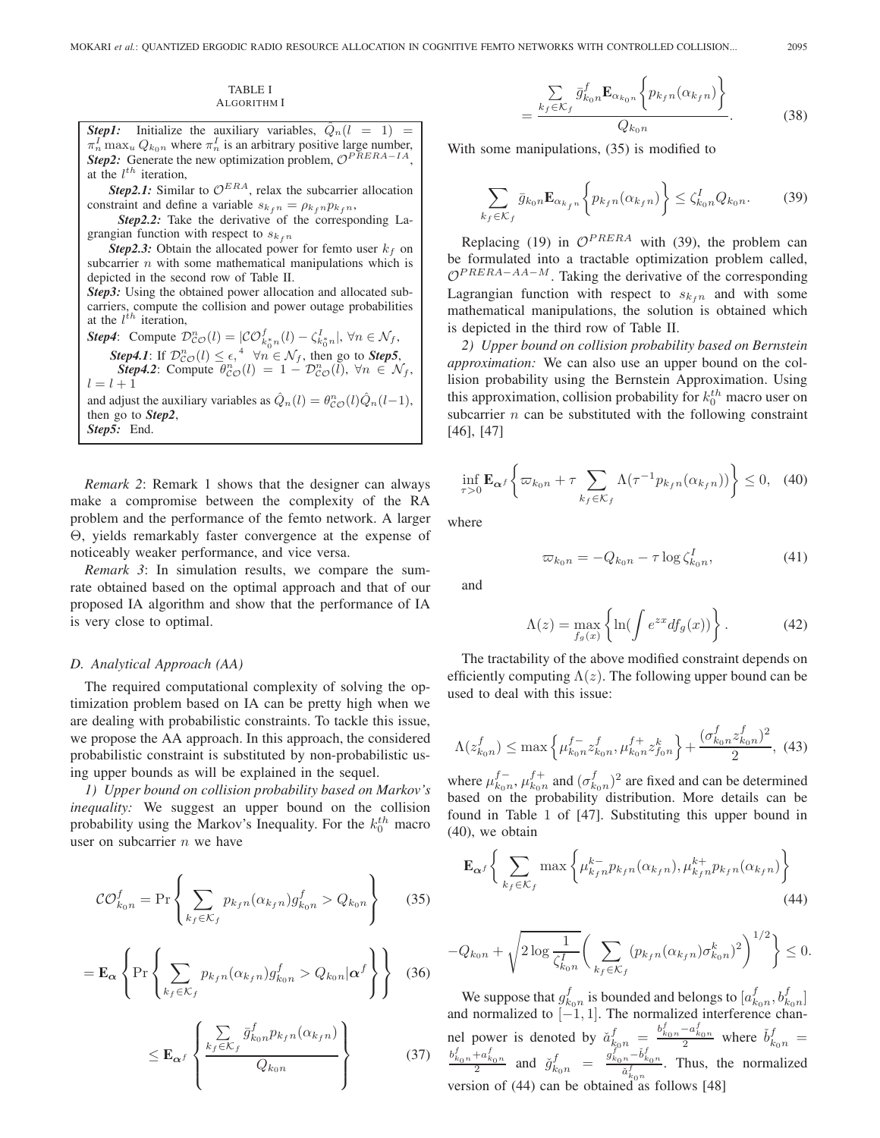#### TABLE I ALGORITHM I

**Step1:** Initialize the auxiliary variables,  $\hat{Q}_n (l = 1) = \pi_n^I \max_u Q_{k_0 n}$  where  $\pi_n^I$  is an arbitrary positive large number,  $S_{k_0 n}$ . Convents the new estimination problem  $\mathcal{O}^{PRERA-IA}$ *Step2:* Generate the new optimization problem,  $\mathcal{O}^{PRERA-IA}$ , at the  $l^{th}$  iteration,

*Step2.1:* Similar to  $\mathcal{O}^{ERA}$ , relax the subcarrier allocation constraint and define a variable  $s_{k_f n} = \rho_{k_f n} p_{k_f n}$ ,

*Step2.2:* Take the derivative of the corresponding Lagrangian function with respect to  $s_{k_f n}$ 

*Step2.3:* Obtain the allocated power for femto user  $k_f$  on subcarrier  $n$  with some mathematical manipulations which is depicted in the second row of Table II.

*Step3:* Using the obtained power allocation and allocated subcarriers, compute the collision and power outage probabilities at the  $l^{th}$  iteration,

**Step4:** Compute  $\mathcal{D}_{CC}^n(l) = |CC_{k_0 n}^f(l) - \zeta_{k_0 n}^I|, \forall n \in \mathcal{N}_f,$ **Step4.1**: If  $D_{CO}^n(i) = |CO_{k_0^n n}(i) - S_{k_0^n n}^n|$ ,  $\forall n \in \mathcal{N}_f$ ,  $\mathsf{Step 4.2}:$  Compute  $\theta_{CO}^n(l) = 1 - \mathcal{D}_{CO}^n(l)$ ,  $\forall n \in \mathcal{N}_f$ ,  $\mathsf{Step 4.2}:$  Compute  $\theta_{CO}^n(l) = 1 - \mathcal{D}_{CO}^n(l)$ ,  $\forall n \in \mathcal{N}_f$ ,  $l = l + 1$ and adjust the auxiliary variables as  $\hat{Q}_n(l) = \theta_{\mathcal{CO}}^n(l) \hat{Q}_n(l-1)$ , then go to *Step2*, *Step5:* End.

*Remark 2*: Remark 1 shows that the designer can always make a compromise between the complexity of the RA problem and the performance of the femto network. A larger Θ, yields remarkably faster convergence at the expense of noticeably weaker performance, and vice versa.

*Remark 3*: In simulation results, we compare the sumrate obtained based on the optimal approach and that of our proposed IA algorithm and show that the performance of IA is very close to optimal.

## *D. Analytical Approach (AA)*

The required computational complexity of solving the optimization problem based on IA can be pretty high when we are dealing with probabilistic constraints. To tackle this issue, we propose the AA approach. In this approach, the considered probabilistic constraint is substituted by non-probabilistic using upper bounds as will be explained in the sequel.

*1) Upper bound on collision probability based on Markov's inequality:* We suggest an upper bound on the collision probability using the Markov's Inequality. For the  $k_0^{th}$  macro user on subcarrier  $n$  we have

$$
\mathcal{CO}_{k_0 n}^f = \Pr \left\{ \sum_{k_f \in \mathcal{K}_f} p_{k_f n} (\alpha_{k_f n}) g_{k_0 n}^f > Q_{k_0 n} \right\} \tag{35}
$$

$$
= \mathbf{E}_{\alpha} \left\{ \Pr \left\{ \sum_{k_f \in \mathcal{K}_f} p_{k_f n}(\alpha_{k_f n}) g_{k_0 n}^f > Q_{k_0 n} | \alpha^f \right\} \right\} \tag{36}
$$

$$
\leq \mathbf{E}_{\alpha^f} \left\{ \frac{\sum\limits_{k_f \in \mathcal{K}_f} \bar{g}_{k_0 n}^f p_{k_f n}(\alpha_{k_f n})}{Q_{k_0 n}} \right\} \tag{37}
$$

$$
= \frac{\sum\limits_{k_f \in \mathcal{K}_f} \bar{g}_{k_0 n}^f \mathbf{E}_{\alpha_{k_0 n}} \left\{ p_{k_f n}(\alpha_{k_f n}) \right\}}{Q_{k_0 n}}.
$$
 (38)

With some manipulations, (35) is modified to

 $\equiv$ 

$$
\sum_{k_f \in \mathcal{K}_f} \bar{g}_{k_0 n} \mathbf{E}_{\alpha_{k_f n}} \left\{ p_{k_f n}(\alpha_{k_f n}) \right\} \leq \zeta_{k_0 n}^I Q_{k_0 n}.
$$
 (39)

Replacing (19) in  $\mathcal{O}^{PRERA}$  with (39), the problem can be formulated into a tractable optimization problem called,  $O^{PRERA-AA-M}$ . Taking the derivative of the corresponding Lagrangian function with respect to  $s_{k,n}$  and with some mathematical manipulations, the solution is obtained which is depicted in the third row of Table II.

*2) Upper bound on collision probability based on Bernstein approximation:* We can also use an upper bound on the collision probability using the Bernstein Approximation. Using this approximation, collision probability for  $k_0^{th}$  macro user on subcarrier  $n$  can be substituted with the following constraint [46], [47]

$$
\inf_{\tau>0} \mathbf{E}_{\alpha^f} \bigg\{ \varpi_{k_0 n} + \tau \sum_{k_f \in \mathcal{K}_f} \Lambda(\tau^{-1} p_{k_f n}(\alpha_{k_f n})) \bigg\} \le 0, \quad (40)
$$

where

$$
\varpi_{k_0 n} = -Q_{k_0 n} - \tau \log \zeta_{k_0 n}^I,
$$
\n(41)

and

$$
\Lambda(z) = \max_{f_g(x)} \left\{ \ln \left( \int e^{zx} df_g(x) \right) \right\}.
$$
 (42)

The tractability of the above modified constraint depends on efficiently computing  $\Lambda(z)$ . The following upper bound can be used to deal with this issue:

$$
\Lambda(z_{k_0n}^f) \le \max\left\{\mu_{k_0n}^{f-} z_{k_0n}^f, \mu_{k_0n}^{f+} z_{k_0n}^k\right\} + \frac{(\sigma_{k_0n}^f z_{k_0n}^f)^2}{2},\tag{43}
$$

where  $\mu_{k_0,n}^f$ ,  $\mu_{k_0,n}^f$  and  $(\sigma_{k_0,n}^f)^2$  are fixed and can be determined<br>hased on the probability distribution. More details can be based on the probability distribution. More details can be found in Table 1 of [47]. Substituting this upper bound in (40), we obtain

$$
\mathbf{E}_{\alpha^f} \bigg\{ \sum_{k_f \in \mathcal{K}_f} \max \bigg\{ \mu_{k_f n}^{k-} p_{k_f n}(\alpha_{k_f n}), \mu_{k_f n}^{k+} p_{k_f n}(\alpha_{k_f n}) \bigg\} \tag{44}
$$

$$
-Q_{k_0 n} + \sqrt{2\log \frac{1}{\zeta_{k_0 n}^I}} \bigg(\sum_{k_f \in \mathcal{K}_f} (p_{k_f n}(\alpha_{k_f n}) \sigma_{k_0 n}^k)^2\bigg)^{1/2}\bigg\} \leq 0.
$$

We suppose that  $g_{k_0n}^f$  is bounded and belongs to  $[a_{k_0n}^f, b_{k_0n}^f]$ <br>d normalized to [-1, 1]. The normalized interference chanand normalized to  $[-1, 1]$ . The normalized interference channel power is denoted by  $\check{a}_{k_0n}^f = \frac{b_{k_0n}^f - a_{k_0n}^f}{2}$  where  $\check{b}_{k_0n}^f = \frac{b_{k_0n}^f - b_{k_0n}^f}{2}$  and  $\check{g}_{k_0n}^f = \frac{g_{k_0n}^f - b_{k_0n}^f}{\check{a}_{k_0n}^f}$ . Thus, the normalized . Thus, the normalized version of (44) can be obtained as follows [48]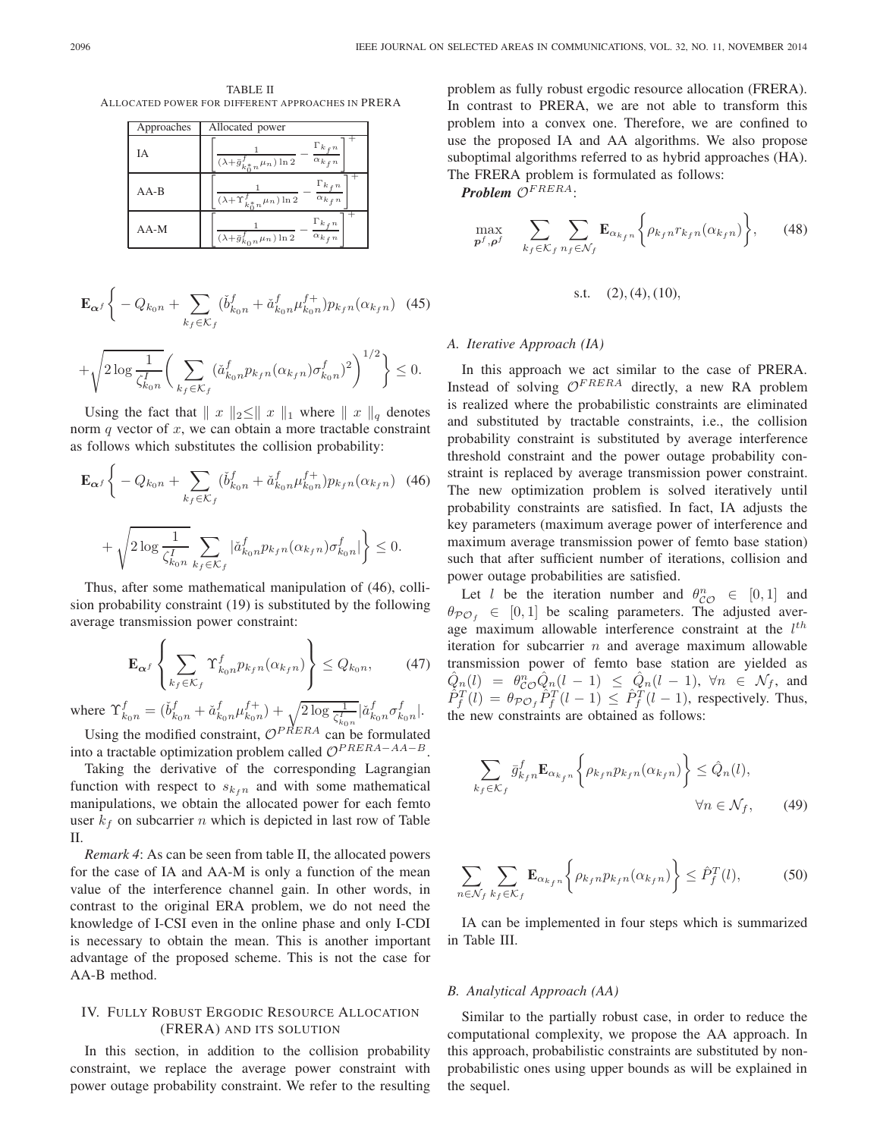TABLE II ALLOCATED POWER FOR DIFFERENT APPROACHES IN PRERA

| Approaches | Allocated power                                                                   |
|------------|-----------------------------------------------------------------------------------|
| IΑ         | $\Gamma_{k_f n}$<br>$\alpha_{k,n}$<br>$(\lambda + \bar{g}_{k_0 n}^J \mu_n) \ln 2$ |
| AA-B       | $\Gamma_{k_f n}$<br>$\alpha_{k_f n}$<br>$(\lambda+\Upsilon^J_{k_0^*n}\mu_n)\ln 2$ |
| AA-M       | $\Gamma_{k,n}$<br>$\alpha_{k_f n}$<br>$(\lambda + \bar{g}_{k_0 n}^f \mu_n) \ln 2$ |

$$
\mathbf{E}_{\alpha} f \left\{ -Q_{k_0 n} + \sum_{k_f \in \mathcal{K}_f} (\check{b}_{k_0 n}^f + \check{a}_{k_0 n}^f \mu_{k_0 n}^{f+}) p_{k_f n} (\alpha_{k_f n}) \right\} (45)
$$

$$
+\sqrt{2\log \frac{1}{\zeta_{k_0 n}^I}} \bigg(\sum_{k_f \in \mathcal{K}_f} (\check{a}_{k_0 n}^f p_{k_f n}(\alpha_{k_f n}) \sigma_{k_0 n}^f)^2\bigg)^{1/2}\bigg\} \leq 0.
$$

Using the fact that  $\|x\|_2 \leq \|x\|_1$  where  $\|x\|_q$  denotes norm  $q$  vector of  $x$ , we can obtain a more tractable constraint as follows which substitutes the collision probability:

$$
\mathbf{E}_{\alpha^{f}} \bigg\{ -Q_{k_{0}n} + \sum_{k_{f} \in \mathcal{K}_{f}} (\check{b}_{k_{0}n}^{f} + \check{a}_{k_{0}n}^{f}) p_{k_{f}n} (\alpha_{k_{f}n}) \tag{46}
$$

$$
+ \sqrt{2 \log \frac{1}{\zeta_{k_{0}n}^{f}} \sum_{k_{f} \in \mathcal{K}_{f}} |\check{a}_{k_{0}n}^{f} p_{k_{f}n} (\alpha_{k_{f}n}) \sigma_{k_{0}n}^{f}|} \bigg\} \leq 0.
$$

Thus, after some mathematical manipulation of (46), collision probability constraint (19) is substituted by the following average transmission power constraint:

$$
\mathbf{E}_{\alpha^f} \left\{ \sum_{k_f \in \mathcal{K}_f} \Upsilon_{k_0 n}^f p_{k_f n}(\alpha_{k_f n}) \right\} \le Q_{k_0 n}, \qquad (47)
$$

where  $\Upsilon_{k_0n}^f = (\check{b}_{k_0n}^f + \check{a}_{k_0n}^f \mu_{k_0n}^{f+}) + \sqrt{2 \log \frac{1}{\zeta_{k_0n}^f}} |\check{a}_{k_0n}^f \sigma_{k_0n}^f|.$ Using the modified constraint,  $\mathcal{O}^{PRERA}$  can be formulated

into a tractable optimization problem called  $\mathcal{O}^{PRERA-AA-B}$ .

Taking the derivative of the corresponding Lagrangian function with respect to  $s_{k+n}$  and with some mathematical manipulations, we obtain the allocated power for each femto user  $k_f$  on subcarrier n which is depicted in last row of Table II.

*Remark 4*: As can be seen from table II, the allocated powers for the case of IA and AA-M is only a function of the mean value of the interference channel gain. In other words, in contrast to the original ERA problem, we do not need the knowledge of I-CSI even in the online phase and only I-CDI is necessary to obtain the mean. This is another important advantage of the proposed scheme. This is not the case for AA-B method.

## IV. FULLY ROBUST ERGODIC RESOURCE ALLOCATION (FRERA) AND ITS SOLUTION

In this section, in addition to the collision probability constraint, we replace the average power constraint with power outage probability constraint. We refer to the resulting

problem as fully robust ergodic resource allocation (FRERA). In contrast to PRERA, we are not able to transform this problem into a convex one. Therefore, we are confined to use the proposed IA and AA algorithms. We also propose suboptimal algorithms referred to as hybrid approaches (HA). The FRERA problem is formulated as follows:

*Problem* OF RERA:

$$
\max_{\mathbf{p}^f, \mathbf{\rho}^f} \quad \sum_{k_f \in \mathcal{K}_f} \sum_{n_f \in \mathcal{N}_f} \mathbf{E}_{\alpha_{k_f n}} \bigg\{ \rho_{k_f n} r_{k_f n} (\alpha_{k_f n}) \bigg\}, \qquad (48)
$$

s.t. 
$$
(2), (4), (10),
$$

#### *A. Iterative Approach (IA)*

In this approach we act similar to the case of PRERA. Instead of solving  $\mathcal{O}^{FRERA}$  directly, a new RA problem is realized where the probabilistic constraints are eliminated and substituted by tractable constraints, i.e., the collision probability constraint is substituted by average interference threshold constraint and the power outage probability constraint is replaced by average transmission power constraint. The new optimization problem is solved iteratively until probability constraints are satisfied. In fact, IA adjusts the key parameters (maximum average power of interference and maximum average transmission power of femto base station) such that after sufficient number of iterations, collision and power outage probabilities are satisfied.

Let l be the iteration number and  $\theta_{CO}^n \in [0,1]$  and<br>co  $\epsilon_{CO}^n = [0, 1]$  be scaling parameters. The adjusted aver- $\theta_{PQ_f} \in [0, 1]$  be scaling parameters. The adjusted average maximum allowable interference constraint at the  $l^{th}$ iteration for subcarrier  $n$  and average maximum allowable transmission power of femto base station are yielded as  $\hat{Q}_n(l) = \theta_{CO}^n \hat{Q}_n(l-1) \leq \hat{Q}_n(l-1), \forall n \in \mathcal{N}_f$ , and<br>  $\hat{P}^T(l) = \theta_{CO} \hat{P}^T(l-1) \leq \hat{P}^T(l-1)$  respectively. Thus  $\hat{P}_f^T(l) = \theta_{\mathcal{P}\mathcal{O}_f} \hat{P}_f^T(l-1) \leq \hat{P}_f^T(l-1)$ , respectively. Thus, the new constraints are obtained as follows:

$$
\sum_{k_f \in \mathcal{K}_f} \bar{g}_{k_f n}^f \mathbf{E}_{\alpha_{k_f n}} \left\{ \rho_{k_f n} p_{k_f n} (\alpha_{k_f n}) \right\} \le \hat{Q}_n(l),
$$
  

$$
\forall n \in \mathcal{N}_f,
$$
 (49)

$$
\sum_{n \in \mathcal{N}_f} \sum_{k_f \in \mathcal{K}_f} \mathbf{E}_{\alpha_{k_f n}} \left\{ \rho_{k_f n} p_{k_f n} (\alpha_{k_f n}) \right\} \le \hat{P}_f^T(l),\tag{50}
$$

IA can be implemented in four steps which is summarized in Table III.

#### *B. Analytical Approach (AA)*

Similar to the partially robust case, in order to reduce the computational complexity, we propose the AA approach. In this approach, probabilistic constraints are substituted by nonprobabilistic ones using upper bounds as will be explained in the sequel.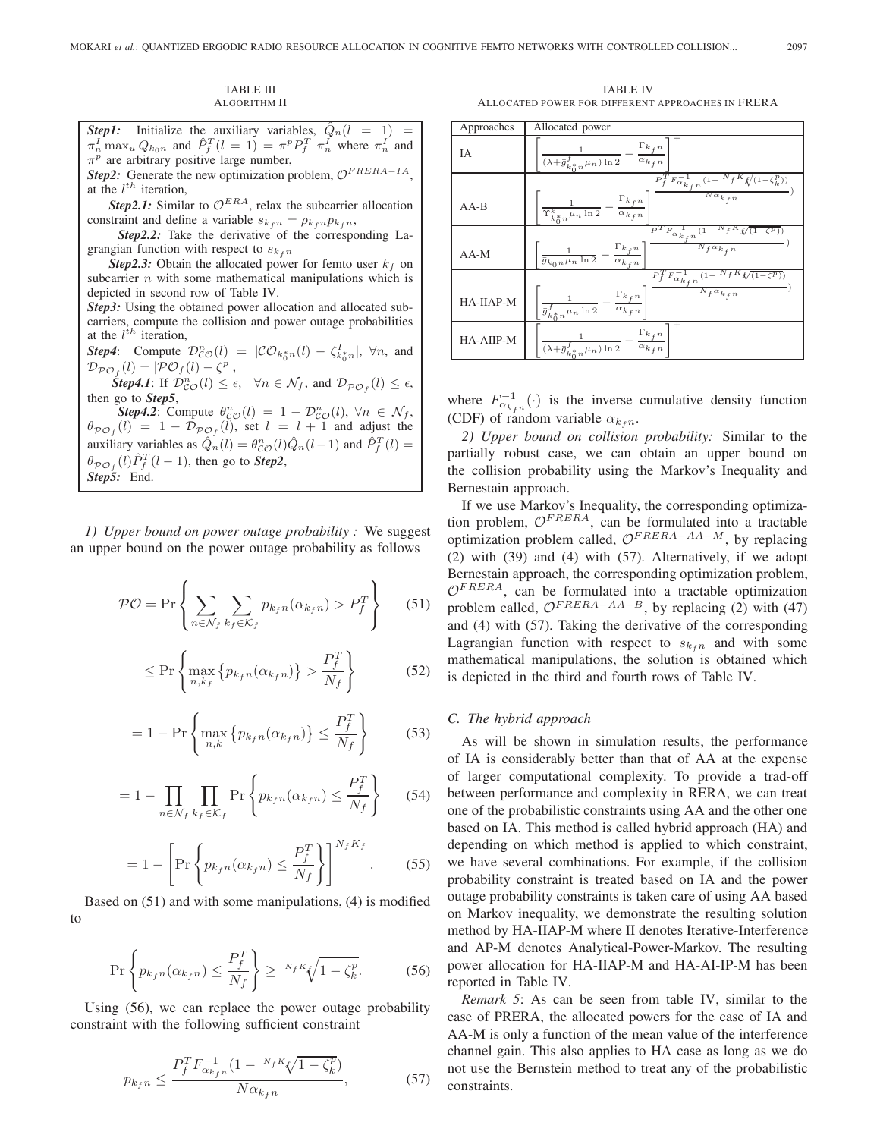TABLE III ALGORITHM II

| <b>Step1:</b> Initialize the auxiliary variables, $\ddot{Q}_n(l = 1)$ =                                                                                    |  |  |
|------------------------------------------------------------------------------------------------------------------------------------------------------------|--|--|
| $\pi_n^I \max_u Q_{k_0 n}$ and $\hat{P}_{f}^{T}(l=1) = \pi^p P_f^T \pi_n^I$ where $\pi_n^I$ and                                                            |  |  |
| $\pi^p$ are arbitrary positive large number,                                                                                                               |  |  |
| <b>Step2:</b> Generate the new optimization problem, $\mathcal{O}^{FRERA-IA}$ .                                                                            |  |  |
| at the $l^{th}$ iteration,                                                                                                                                 |  |  |
| <b>Step2.1:</b> Similar to $\mathcal{O}^{ERA}$ , relax the subcarrier allocation                                                                           |  |  |
| constraint and define a variable $s_{k+n} = \rho_{k+n} p_{k+n}$ ,                                                                                          |  |  |
| <i>Step2.2:</i> Take the derivative of the corresponding La-                                                                                               |  |  |
| grangian function with respect to $s_{k_f n}$                                                                                                              |  |  |
| <b>Step2.3:</b> Obtain the allocated power for femto user $k_f$ on                                                                                         |  |  |
| subcarrier $n$ with some mathematical manipulations which is                                                                                               |  |  |
| depicted in second row of Table IV.                                                                                                                        |  |  |
| <b>Step3:</b> Using the obtained power allocation and allocated sub-                                                                                       |  |  |
| carriers, compute the collision and power outage probabilities                                                                                             |  |  |
| at the $l^{th}$ iteration,                                                                                                                                 |  |  |
| <b>Step4:</b> Compute $\mathcal{D}_{\mathcal{CO}}^n(l) =  \mathcal{CO}_{k_0 n}^*(l) - \zeta_{k_0 n}^* , \forall n$ , and                                   |  |  |
| $\mathcal{D}_{\mathcal{PO}_{f}}(l) =  \mathcal{PO}_{f}(l) - \zeta^{p} ,$                                                                                   |  |  |
| <b>Step4.1:</b> If $\mathcal{D}_{\mathcal{CO}}^n(l) \leq \epsilon$ , $\forall n \in \mathcal{N}_f$ , and $\mathcal{D}_{\mathcal{PO}_f}(l) \leq \epsilon$ , |  |  |
| then go to <i>Step5</i> ,                                                                                                                                  |  |  |
| <b>Step4.2:</b> Compute $\theta_{\mathcal{CO}}^n(l) = 1 - \mathcal{D}_{\mathcal{CO}}^n(l)$ , $\forall n \in \mathcal{N}_f$ ,                               |  |  |
| $\theta_{\mathcal{D},\Omega}$ , $(l) = 1 - \mathcal{D}_{\mathcal{D},\Omega}$ , $(l)$ , set $l = l + 1$ and adjust the                                      |  |  |

 $\theta_{\mathcal{PO}_{f}}(l)=1 - \mathcal{D}_{\mathcal{PO}_{f}}(l)$ , set  $l = l + 1$  and adjust the auxiliary variables as  $\hat{Q}_n(l) = \theta_{C\mathcal{O}}^n(l)\hat{Q}_n(l-1)$  and  $\hat{P}_f^T(l) =$  $\theta_{\mathcal{PO}_f}(l)\hat{P}_f^T(l-1)$ , then go to **Step2**, *Step5:* End.

*1) Upper bound on power outage probability :* We suggest an upper bound on the power outage probability as follows

$$
\mathcal{PO} = \Pr\left\{ \sum_{n \in \mathcal{N}_f} \sum_{k_f \in \mathcal{K}_f} p_{k_f n}(\alpha_{k_f n}) > P_f^T \right\} \tag{51}
$$

$$
\leq \Pr\left\{\max_{n,k_f} \left\{p_{kfn}(\alpha_{kfn})\right\} > \frac{P_f^T}{N_f}\right\} \tag{52}
$$

$$
= 1 - \Pr\left\{\max_{n,k} \left\{ p_{kfn}(\alpha_{kfn}) \right\} \le \frac{P_f^T}{N_f} \right\} \tag{53}
$$

$$
= 1 - \prod_{n \in \mathcal{N}_f} \prod_{k_f \in \mathcal{K}_f} \Pr \left\{ p_{k_f n}(\alpha_{k_f n}) \le \frac{P_f^T}{N_f} \right\} \tag{54}
$$

$$
= 1 - \left[ \Pr \left\{ p_{k_f n}(\alpha_{k_f n}) \le \frac{P_f^T}{N_f} \right\} \right]^{N_f K_f} . \tag{55}
$$

Based on (51) and with some manipulations, (4) is modified to

$$
\Pr\left\{p_{k_f n}(\alpha_{k_f n}) \le \frac{P_f^T}{N_f}\right\} \ge \sqrt[N_f K] \sqrt{1 - \zeta_k^p}.\tag{56}
$$

Using (56), we can replace the power outage probability constraint with the following sufficient constraint

$$
p_{k_f n} \le \frac{P_f^T F_{\alpha_{k_f n}}^{-1} (1 - {^{N_f K}\sqrt{1 - \zeta_k^p}})}{N \alpha_{k_f n}},
$$
\n(57)

TABLE IV ALLOCATED POWER FOR DIFFERENT APPROACHES IN FRERA

| Approaches | Allocated power                                                                                                             |
|------------|-----------------------------------------------------------------------------------------------------------------------------|
| IΑ         | ÷<br>$\frac{1}{(\lambda+\bar{g}^f_{k^*_\alpha n}\mu_n)\ln2}-\frac{\Gamma_{k_f n}}{\alpha_{k_f n}}$                          |
|            | $\frac{ \boldsymbol{P}_f^T \boldsymbol{F}^{-1}_{\alpha_{k_{f}n}} (1 - N f^K \sqrt[s]{(1 - \zeta^p_k)})}{N \alpha_{k_{f}n}}$ |
| $AA-B$     | $\frac{1}{\Upsilon^k_{\stackrel{*}{b}_0^* n}\mu_n\ln2}-\frac{\Gamma_{k_f n}}{\alpha_{k_f n}}\,\Big \,$                      |
|            | $\frac{{_{P}T}_{F_{\alpha_{k_f}}-1}(1-{}^{N_fK}\sqrt{(1-\zeta^p)})}{ {}_{N_f\alpha_{k_f}} n}$                               |
| $AA-M$     | $\Gamma_{k_f n}$<br>$\frac{1}{\bar{g}_{k_0 n} \mu_n \ln 2} -$<br>$\alpha_{k_f\,n}$                                          |
|            | $\frac{P_f^T F_{\alpha_{k_{f}} n}^{-1} (1 - N f^K \sqrt{(1 - \zeta^p)})}{N f^{\alpha_{k_{f}} n}}$                           |
| HA-IIAP-M  | $\Gamma_{k_f n}$<br>$\overline{g}_{k_{0}^{*}n}^{f}$ $\mu_{n}$ ln 2<br>$\alpha_{k_{f}n}$                                     |
| HA-AIIP-M  | ÷<br>$\frac{\Gamma_{k_f n}}{ }$<br>$\frac{1}{(\lambda+\bar{g}^f_{k_0^*n}\mu_n)\ln 2}$<br>$\overline{\alpha}_{k_f n}$        |

where  $F_{\alpha_{k,n}}^{-1}(\cdot)$  is the inverse cumulative density function (CDF) of random variable  $\alpha_{k+n}$ .

*2) Upper bound on collision probability:* Similar to the partially robust case, we can obtain an upper bound on the collision probability using the Markov's Inequality and Bernestain approach.

If we use Markov's Inequality, the corresponding optimization problem,  $\mathcal{O}^{FRERA}$ , can be formulated into a tractable optimization problem called,  $O^{FRERA-AA-M}$ , by replacing (2) with (39) and (4) with (57). Alternatively, if we adopt Bernestain approach, the corresponding optimization problem,  $\mathcal{O}^{FRERA}$ , can be formulated into a tractable optimization problem called,  $O^{FRERA-AA-B}$ , by replacing (2) with (47) and (4) with (57). Taking the derivative of the corresponding Lagrangian function with respect to  $s_{k_f n}$  and with some mathematical manipulations, the solution is obtained which is depicted in the third and fourth rows of Table IV.

## *C. The hybrid approach*

As will be shown in simulation results, the performance of IA is considerably better than that of AA at the expense of larger computational complexity. To provide a trad-off between performance and complexity in RERA, we can treat one of the probabilistic constraints using AA and the other one based on IA. This method is called hybrid approach (HA) and depending on which method is applied to which constraint, we have several combinations. For example, if the collision probability constraint is treated based on IA and the power outage probability constraints is taken care of using AA based on Markov inequality, we demonstrate the resulting solution method by HA-IIAP-M where II denotes Iterative-Interference and AP-M denotes Analytical-Power-Markov. The resulting power allocation for HA-IIAP-M and HA-AI-IP-M has been reported in Table IV.

*Remark 5*: As can be seen from table IV, similar to the case of PRERA, the allocated powers for the case of IA and AA-M is only a function of the mean value of the interference channel gain. This also applies to HA case as long as we do not use the Bernstein method to treat any of the probabilistic constraints.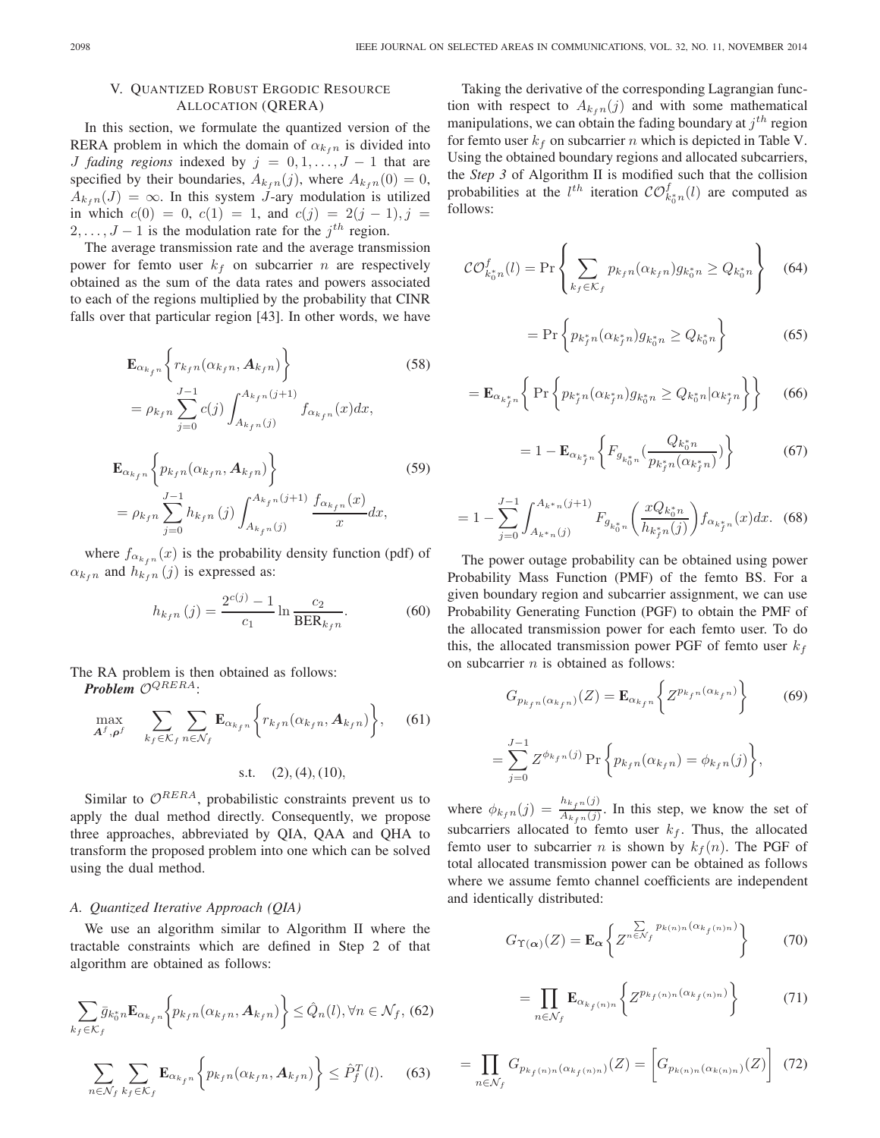## V. QUANTIZED ROBUST ERGODIC RESOURCE ALLOCATION (QRERA)

In this section, we formulate the quantized version of the RERA problem in which the domain of  $\alpha_{k,n}$  is divided into *J fading regions* indexed by  $j = 0, 1, \ldots, J - 1$  that are specified by their boundaries,  $A_{k_f n}(j)$ , where  $A_{k_f n}(0) = 0$ ,  $A_{k_f n}(J) = \infty$ . In this system J-ary modulation is utilized in which  $c(0) = 0$ ,  $c(1) = 1$ , and  $c(j) = 2(j - 1)$ ,  $j =$  $2, \ldots, J-1$  is the modulation rate for the  $j<sup>th</sup>$  region.

The average transmission rate and the average transmission power for femto user  $k_f$  on subcarrier n are respectively obtained as the sum of the data rates and powers associated to each of the regions multiplied by the probability that CINR falls over that particular region [43]. In other words, we have

$$
\mathbf{E}_{\alpha_{k_{f}n}}\left\{r_{k_{f}n}(\alpha_{k_{f}n}, A_{k_{f}n})\right\}
$$
\n
$$
= \rho_{k_{f}n} \sum_{j=0}^{J-1} c(j) \int_{A_{k_{f}n}(j)}^{A_{k_{f}n}(j+1)} f_{\alpha_{k_{f}n}}(x) dx,
$$
\n(58)

$$
\mathbf{E}_{\alpha_{k_{f}n}}\left\{p_{k_{f}n}(\alpha_{k_{f}n}, A_{k_{f}n})\right\}
$$
\n
$$
= \rho_{k_{f}n}\sum_{j=0}^{J-1} h_{k_{f}n}(j) \int_{A_{k_{f}n}(j)}^{A_{k_{f}n}(j+1)} \frac{f_{\alpha_{k_{f}n}}(x)}{x} dx,
$$
\n(59)

where  $f_{\alpha_{k,n}}(x)$  is the probability density function (pdf) of  $\alpha_{k_f n}$  and  $h_{k_f n} (j)$  is expressed as:

$$
h_{k_f n}(j) = \frac{2^{c(j)} - 1}{c_1} \ln \frac{c_2}{\text{BER}_{k_f n}}.
$$
 (60)

The RA problem is then obtained as follows: *Problem* OQRERA:

$$
\max_{\mathbf{A}^f, \rho^f} \sum_{k_f \in \mathcal{K}_f} \sum_{n \in \mathcal{N}_f} \mathbf{E}_{\alpha_{k_f n}} \bigg\{ r_{k_f n}(\alpha_{k_f n}, \mathbf{A}_{k_f n}) \bigg\}, \quad (61)
$$
  
s.t. (2), (4), (10),

Similar to  $\mathcal{O}^{RERA}$ , probabilistic constraints prevent us to apply the dual method directly. Consequently, we propose three approaches, abbreviated by QIA, QAA and QHA to transform the proposed problem into one which can be solved using the dual method.

## *A. Quantized Iterative Approach (QIA)*

We use an algorithm similar to Algorithm II where the tractable constraints which are defined in Step 2 of that algorithm are obtained as follows:

$$
\sum_{k_f \in \mathcal{K}_f} \bar{g}_{k_0^* n} \mathbf{E}_{\alpha_{k_f n}} \bigg\{ p_{k_f n}(\alpha_{k_f n}, A_{k_f n}) \bigg\} \leq \hat{Q}_n(l), \forall n \in \mathcal{N}_f, (62)
$$

$$
\sum_{n \in \mathcal{N}_f} \sum_{k_f \in \mathcal{K}_f} \mathbf{E}_{\alpha_{k_f n}} \bigg\{ p_{k_f n}(\alpha_{k_f n}, A_{k_f n}) \bigg\} \leq \hat{P}_f^T(l). \quad (63)
$$

Taking the derivative of the corresponding Lagrangian function with respect to  $A_{k_f n}(j)$  and with some mathematical manipulations, we can obtain the fading boundary at  $j<sup>th</sup>$  region for femto user  $k_f$  on subcarrier n which is depicted in Table V. Using the obtained boundary regions and allocated subcarriers, the *Step 3* of Algorithm II is modified such that the collision probabilities at the  $l^{th}$  iteration  $\mathcal{CO}_{k_0^*n}^f(l)$  are computed as follows: follows:

$$
\mathcal{CO}_{k_0^n}^f(l) = \Pr\left\{ \sum_{k_f \in \mathcal{K}_f} p_{k_f n}(\alpha_{k_f n}) g_{k_0^n n} \ge Q_{k_0^n n} \right\} \quad (64)
$$

$$
= \Pr \left\{ p_{k_f^* n} (\alpha_{k_f^* n}) g_{k_0^* n} \ge Q_{k_0^* n} \right\} \tag{65}
$$

$$
= \mathbf{E}_{\alpha_{k_f^* n}} \left\{ \Pr \left\{ p_{k_f^* n} (\alpha_{k_f^* n}) g_{k_0^* n} \ge Q_{k_0^* n} | \alpha_{k_f^* n} \right\} \right\} \tag{66}
$$

$$
=1-\mathbf{E}_{\alpha_{k_f^*n}}\bigg\{F_{g_{k_0^*n}}\big(\frac{Q_{k_0^*n}}{p_{k_f^*n}(\alpha_{k_f^*n})}\big)\bigg\}\tag{67}
$$

$$
=1-\sum_{j=0}^{J-1}\int_{A_{k^*n}(j)}^{A_{k^*n}(j+1)}F_{g_{k_0^*n}}\left(\frac{xQ_{k_0^*n}}{h_{k_j^*n}(j)}\right)f_{\alpha_{k_j^*n}}(x)dx. \tag{68}
$$

The power outage probability can be obtained using power Probability Mass Function (PMF) of the femto BS. For a given boundary region and subcarrier assignment, we can use Probability Generating Function (PGF) to obtain the PMF of the allocated transmission power for each femto user. To do this, the allocated transmission power PGF of femto user  $k_f$ on subcarrier  $n$  is obtained as follows:

$$
G_{p_{k_f n}(\alpha_{k_f n})}(Z) = \mathbf{E}_{\alpha_{k_f n}} \left\{ Z^{p_{k_f n}(\alpha_{k_f n})} \right\}
$$
(69)  
= 
$$
\sum_{j=0}^{J-1} Z^{\phi_{k_f n}(j)} \Pr \left\{ p_{k_f n}(\alpha_{k_f n}) = \phi_{k_f n}(j) \right\},
$$

where  $\phi_{k_f n}(j) = \frac{h_{k_f n}(j)}{A_{k_f n}(j)}$ . In this step, we know the set of subcarriers allocated to femto user  $k_f$ . Thus, the allocated femto user to subcarrier *n* is shown by  $k_f(n)$ . The PGF of total allocated transmission power can be obtained as follows where we assume femto channel coefficients are independent and identically distributed:

$$
G_{\Upsilon(\alpha)}(Z) = \mathbf{E}_{\alpha} \left\{ Z^{n \in \mathcal{N}_f}^{p_{k(n)n}(\alpha_{k_f(n)n})} \right\}
$$
(70)

$$
=\prod_{n\in\mathcal{N}_f}\mathbf{E}_{\alpha_{k_f(n)n}}\bigg\{Z^{p_{k_f(n)n}(\alpha_{k_f(n)n})}\bigg\}\tag{71}
$$

$$
=\prod_{n\in\mathcal{N}_f}G_{p_{k_f(n)n}(\alpha_{k_f(n)n})}(Z)=\left[G_{p_{k(n)n}(\alpha_{k(n)n})}(Z)\right]
$$
(72)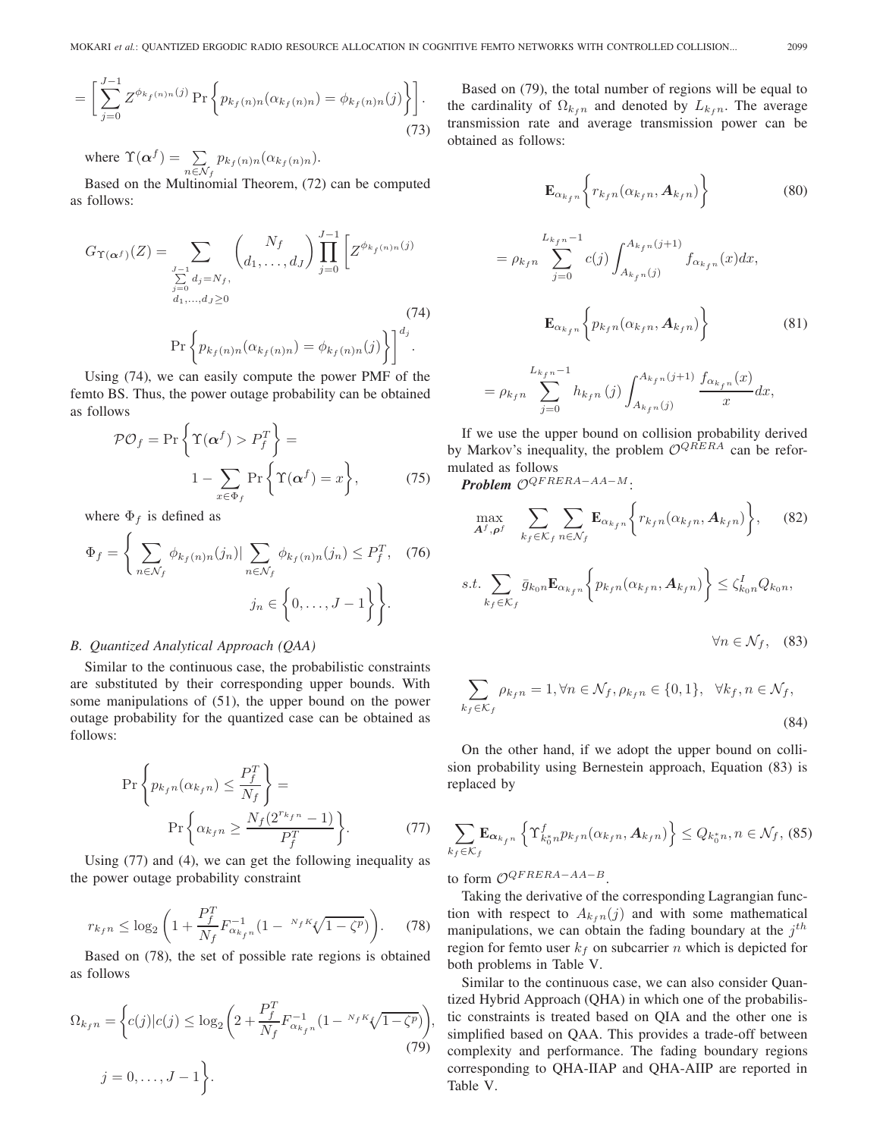$$
= \left[ \sum_{j=0}^{J-1} Z^{\phi_{k_f(n)n}(j)} \Pr \left\{ p_{k_f(n)n}(\alpha_{k_f(n)n}) = \phi_{k_f(n)n}(j) \right\} \right].
$$
\n(73)

where  $\Upsilon(\boldsymbol{\alpha}^f) = \sum_{n \in \mathcal{N}_f} p_{k_f(n)n}(\alpha_{k_f(n)n}).$ <br>Pessed on the Multinomial Theorem (72)

Based on the Multinomial Theorem, (72) can be computed as follows:

$$
G_{\Upsilon(\alpha^{f})}(Z) = \sum_{\substack{J=1 \ \sum_{j=0}^{J-1} d_j = N_f, \\ d_1, ..., d_J \ge 0}} \binom{N_f}{d_1, ..., d_J} \prod_{j=0}^{J-1} \left[ Z^{\phi_{k_f(n)n}(j)} \right]
$$
\n
$$
\Pr \left\{ p_{k_f(n)n}(\alpha_{k_f(n)n}) = \phi_{k_f(n)n}(j) \right\} \Big]^{d_j}.
$$
\n(74)

Using (74), we can easily compute the power PMF of the femto BS. Thus, the power outage probability can be obtained as follows

$$
\mathcal{PO}_f = \Pr\left\{\Upsilon(\alpha^f) > P_f^T\right\} =
$$
\n
$$
1 - \sum_{x \in \Phi_f} \Pr\left\{\Upsilon(\alpha^f) = x\right\},\tag{75}
$$

where  $\Phi_f$  is defined as

$$
\Phi_f = \left\{ \sum_{n \in \mathcal{N}_f} \phi_{k_f(n)n}(j_n) \Big| \sum_{n \in \mathcal{N}_f} \phi_{k_f(n)n}(j_n) \le P_f^T, \quad (76)
$$

$$
j_n \in \left\{0, \dots, J-1\right\} \right\}.
$$

#### *B. Quantized Analytical Approach (QAA)*

Similar to the continuous case, the probabilistic constraints are substituted by their corresponding upper bounds. With some manipulations of (51), the upper bound on the power outage probability for the quantized case can be obtained as follows:

$$
\Pr\left\{p_{k_f n}(\alpha_{k_f n}) \le \frac{P_f^T}{N_f}\right\} =
$$
\n
$$
\Pr\left\{\alpha_{k_f n} \ge \frac{N_f(2^{r_{k_f n}} - 1)}{P_f^T}\right\}.
$$
\n(77)

Using (77) and (4), we can get the following inequality as the power outage probability constraint

$$
r_{k_f n} \le \log_2 \left( 1 + \frac{P_f^T}{N_f} F_{\alpha_{k_f n}}^{-1} (1 - {^{N_f K}\sqrt{1 - \zeta^p}}) \right). \tag{78}
$$

Based on (78), the set of possible rate regions is obtained as follows

$$
\Omega_{k_f n} = \left\{ c(j) | c(j) \le \log_2 \left( 2 + \frac{P_f^T}{N_f} F_{\alpha_{k_f n}}^{-1} (1 - {^{N_f K}\xi} \sqrt{1 - {\zeta}^p}) \right), \right\}
$$
  
(79)  

$$
j = 0, \dots, J - 1 \right\}.
$$

Based on (79), the total number of regions will be equal to the cardinality of  $\Omega_{k_f n}$  and denoted by  $L_{k_f n}$ . The average transmission rate and average transmission power can be obtained as follows:

$$
\mathbf{E}_{\alpha_{k_{fn}}} \bigg\{ r_{k_{fn}}(\alpha_{k_{fn}}, \mathbf{A}_{k_{fn}}) \bigg\} \tag{80}
$$

$$
= \rho_{k_f n} \sum_{j=0}^{L_{k_f n}-1} c(j) \int_{A_{k_f n}(j)}^{A_{k_f n}(j+1)} f_{\alpha_{k_f n}}(x) dx,
$$

$$
\mathbf{E}_{\alpha_{k_f n}} \left\{ p_{k_f n}(\alpha_{k_f n}, \mathbf{A}_{k_f n}) \right\}
$$
(81)

$$
= \rho_{k_f n} \sum_{j=0}^{L_{k_f n}-1} h_{k_f n}(j) \int_{A_{k_f n}(j)}^{A_{k_f n}(j+1)} \frac{f_{\alpha_{k_f n}}(x)}{x} dx,
$$

If we use the upper bound on collision probability derived by Markov's inequality, the problem  $\mathcal{O}^{QRERA}$  can be reformulated as follows

*Problem*  $\mathcal{O}^{QFRERA-AA-M}$ :

$$
\max_{\mathbf{A}^f, \mathbf{\rho}^f} \sum_{k_f \in \mathcal{K}_f} \sum_{n \in \mathcal{N}_f} \mathbf{E}_{\alpha_{k_{fn}}} \bigg\{ r_{k_f n}(\alpha_{k_f n}, \mathbf{A}_{k_f n}) \bigg\}, \quad (82)
$$
  
s.t. 
$$
\sum_{k_f \in \mathcal{K}_f} \bar{g}_{k_0 n} \mathbf{E}_{\alpha_{k_f n}} \bigg\{ p_{k_f n}(\alpha_{k_f n}, \mathbf{A}_{k_f n}) \bigg\} \leq \zeta_{k_0 n}^I Q_{k_0 n},
$$

$$
\forall n \in \mathcal{N}_f, \quad (83)
$$

$$
\sum_{k_f \in \mathcal{K}_f} \rho_{k_f n} = 1, \forall n \in \mathcal{N}_f, \rho_{k_f n} \in \{0, 1\}, \quad \forall k_f, n \in \mathcal{N}_f,
$$
\n(84)

On the other hand, if we adopt the upper bound on collision probability using Bernestein approach, Equation (83) is replaced by

$$
\sum_{k_f \in \mathcal{K}_f} \mathbf{E}_{\alpha_{k_f n}} \left\{ \Upsilon^f_{k_0 n} p_{k_f n}(\alpha_{k_f n}, A_{k_f n}) \right\} \leq Q_{k_0 n}^*, n \in \mathcal{N}_f, (85)
$$

to form  $\mathcal{O}^{QFRERA-AA-B}$ .

Taking the derivative of the corresponding Lagrangian function with respect to  $A_{k+n}(j)$  and with some mathematical manipulations, we can obtain the fading boundary at the  $j<sup>th</sup>$ region for femto user  $k_f$  on subcarrier n which is depicted for both problems in Table V.

Similar to the continuous case, we can also consider Quantized Hybrid Approach (QHA) in which one of the probabilistic constraints is treated based on QIA and the other one is simplified based on QAA. This provides a trade-off between complexity and performance. The fading boundary regions corresponding to QHA-IIAP and QHA-AIIP are reported in Table V.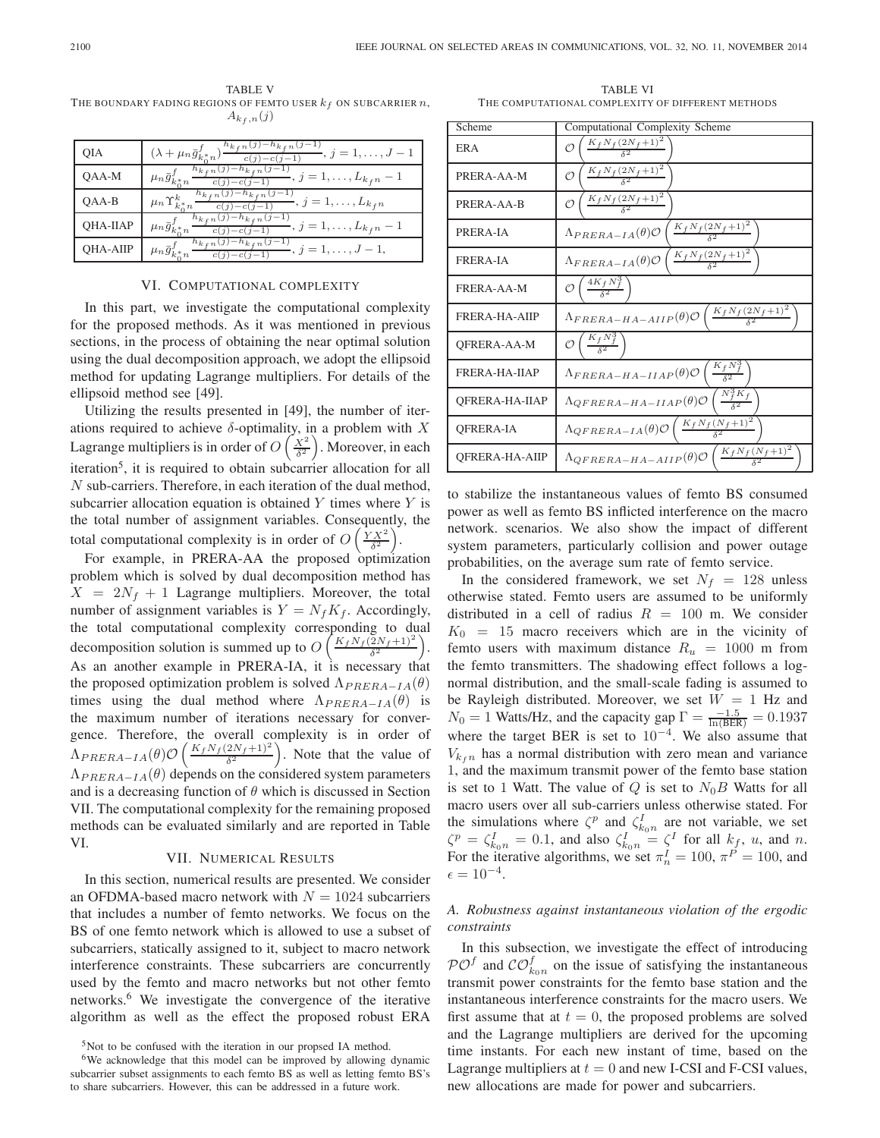TABLE V THE BOUNDARY FADING REGIONS OF FEMTO USER  $k_f$  ON SUBCARRIER  $n$ ,  $A_{k_f,n}(j)$ 

| OIA      | $(\lambda + \mu_n \bar{g}_{k_0 n}^f)^{\frac{h_{k_f n}(j) - h_{k_f n}(j-1)}{c(j) - c(j-1)}}$<br>$-, j = 1, \ldots, J - 1$ |
|----------|--------------------------------------------------------------------------------------------------------------------------|
| QAA-M    | $h_{k_f n}(j) - h_{k_f n}(j-1)$<br>$\mu_n \bar{g}_{k_0^n n}^f$<br>, $j = 1, \ldots, L_{k_f n} - 1$<br>$c(j) - c(i-1)$    |
| QAA-B    | $h_{k_f n}(j) - h_{k_f n}(j-1)$<br>$\mu_n \Upsilon^k_{k_0 n}$<br>, $j = 1, , L_{k_f n}$<br>$c(j) - c(i-1)$               |
| OHA-IIAP | $h_{k_f n}(j) - h_{k_f n}(j-1)$<br>$\mu_n \bar{g}_{k_0^*n}^f$<br>$, j = 1, \ldots, L_{k_f n} - 1$<br>$c(j) - c(j-1)$     |
| QHA-AIIP | $h_{k_f n}(j)$<br>$-h_{k_f n}(j-1)$<br>$\mu_n \bar{g}_{k,n}^f$ .<br>$\dot{-}, j = 1, \ldots, J-1,$                       |

## VI. COMPUTATIONAL COMPLEXITY

In this part, we investigate the computational complexity for the proposed methods. As it was mentioned in previous sections, in the process of obtaining the near optimal solution using the dual decomposition approach, we adopt the ellipsoid method for updating Lagrange multipliers. For details of the ellipsoid method see [49].

Utilizing the results presented in [49], the number of iterations required to achieve  $\delta$ -optimality, in a problem with X Lagrange multipliers is in order of  $O\left(\frac{X^2}{\delta^2}\right)$ . Moreover, in each iteration<sup>5</sup>, it is required to obtain subcarrier allocation for all N sub-carriers. Therefore, in each iteration of the dual method, subcarrier allocation equation is obtained  $Y$  times where  $Y$  is the total number of assignment variables. Consequently, the total computational complexity is in order of  $O\left(\frac{Y X^2}{\delta^2}\right)$ .

For example, in PRERA-AA the proposed optimization problem which is solved by dual decomposition method has  $X = 2N_f + 1$  Lagrange multipliers. Moreover, the total number of assignment variables is  $Y = N_f K_f$ . Accordingly, the total computational complexity corresponding to dual decomposition solution is summed up to  $O\left(\frac{K_f N_f (2N_f+1)^2}{\delta^2}\right)$ . As an another example in PRERA-IA, it is necessary that the proposed optimization problem is solved  $\Lambda_{PRERA-IA}(\theta)$ times using the dual method where  $\Lambda_{PRERA-IA}(\theta)$  is the maximum number of iterations necessary for convergence. Therefore, the overall complexity is in order of  $\Lambda_{PRERA-IA}(\theta) \mathcal{O}\left(\frac{K_f N_f (2N_f+1)^2}{\delta^2}\right)$ . Note that the value of  $\Lambda_{PRERA-IA}(\theta)$  depends on the considered system parameters and is a decreasing function of  $\theta$  which is discussed in Section VII. The computational complexity for the remaining proposed methods can be evaluated similarly and are reported in Table VI.

## VII. NUMERICAL RESULTS

In this section, numerical results are presented. We consider an OFDMA-based macro network with  $N = 1024$  subcarriers that includes a number of femto networks. We focus on the BS of one femto network which is allowed to use a subset of subcarriers, statically assigned to it, subject to macro network interference constraints. These subcarriers are concurrently used by the femto and macro networks but not other femto networks.<sup>6</sup> We investigate the convergence of the iterative algorithm as well as the effect the proposed robust ERA

TABLE VI THE COMPUTATIONAL COMPLEXITY OF DIFFERENT METHODS

| Scheme         | Computational Complexity Scheme                                                            |
|----------------|--------------------------------------------------------------------------------------------|
| ER A           | $\frac{K_f N_f (2N_f+1)^2}{s^2}$<br>$\mathcal{O}$                                          |
| PRERA-AA-M     | $\frac{K_f N_f (2N_f+1)^2}{\delta^2}$<br>O                                                 |
| PRERA-AA-B     | $\frac{K_f N_f (2N_f+1)^2}{\delta^2}$<br>O                                                 |
| PRERA-IA       | $\frac{K_f N_f (2N_f+1)^2}{\delta^2}$<br>$\Lambda_{PRERA-IA}(\theta)$ O                    |
| FRERA-IA       | $\frac{K_f N_f (2N_f+1)^2}{\delta^2}$<br>$\Lambda_{FRERA-IA}(\theta) \mathcal{O}$          |
| FRERA-AA-M     | $\frac{4K_fN_f^3}{\delta^2}$<br>O                                                          |
| FRERA-HA-AIIP  | $\frac{K_f N_f (2N_f+1)^2}{s^2}$<br>$\Lambda_{FRERA-HA-AIIP}(\theta) \mathcal{O}$          |
| QFRERA-AA-M    | $\frac{K_f N_f^3}{\delta^2}$<br>O                                                          |
| FRERA-HA-IIAP  | $\frac{K_f N_f^3}{\delta^2}$<br>$\Lambda_{FRERA-HA-IIAP}(\theta){\mathcal{O}}$             |
| QFRERA-HA-IIAP | $\frac{N_f^3 K_f}{\epsilon_2}$<br>$\Lambda_{QFRERA-HA-IIAP}(\theta){\mathcal{O}}$          |
| OFRERA-IA      | $\Lambda_{QFRERA-IA}(\theta) \mathcal{O}\left(\frac{K_f N_f (N_f+1)^2}{\epsilon^2}\right)$ |
| OFRERA-HA-AIIP | $K_f N_f (N_f + 1)^2$<br>$\Lambda_{QFRERA-HA-AIIP}(\theta) \mathcal{O}$                    |

to stabilize the instantaneous values of femto BS consumed power as well as femto BS inflicted interference on the macro network. scenarios. We also show the impact of different system parameters, particularly collision and power outage probabilities, on the average sum rate of femto service.

In the considered framework, we set  $N_f = 128$  unless otherwise stated. Femto users are assumed to be uniformly distributed in a cell of radius  $R = 100$  m. We consider  $K_0 = 15$  macro receivers which are in the vicinity of femto users with maximum distance  $R_u = 1000$  m from the femto transmitters. The shadowing effect follows a lognormal distribution, and the small-scale fading is assumed to be Rayleigh distributed. Moreover, we set  $W = 1$  Hz and  $N_0 = 1$  Watts/Hz and the canacity gan  $\Gamma = \frac{-1.5}{10} = 0.1937$  $N_0 = 1$  Watts/Hz, and the capacity gap  $\Gamma = \frac{-1.5}{\ln(BE)} = 0.1937$ <br>where the terms BER is set to  $10^{-4}$ . We also assume that where the target BER is set to  $10^{-4}$ . We also assume that  $V_{k,n}$  has a normal distribution with zero mean and variance 1, and the maximum transmit power of the femto base station is set to 1 Watt. The value of Q is set to  $N_0B$  Watts for all macro users over all sub-carriers unless otherwise stated. For the simulations where  $\zeta^p$  and  $\zeta^I_{k_0n}$  are not variable, we set  $\zeta^p = \zeta_{k_0 n}^I = 0.1$ , and also  $\zeta_{k_0 n}^I = \zeta^I$  for all  $k_f$ , u, and n.<br>For the iterative algorithms, we set  $\pi_n^I = 100$ ,  $\pi^P = 100$ , and  $\epsilon = 10^{-4}.$ 

## *A. Robustness against instantaneous violation of the ergodic constraints*

In this subsection, we investigate the effect of introducing  $PO<sup>f</sup>$  and  $CO<sup>f</sup><sub>k<sub>0</sub>n</sub>$  on the issue of satisfying the instantaneous transmit power constraints for the femto base station and the instantaneous interference constraints for the macro users. We first assume that at  $t = 0$ , the proposed problems are solved and the Lagrange multipliers are derived for the upcoming time instants. For each new instant of time, based on the Lagrange multipliers at  $t = 0$  and new I-CSI and F-CSI values, new allocations are made for power and subcarriers.

<sup>&</sup>lt;sup>5</sup>Not to be confused with the iteration in our propsed IA method.

<sup>6</sup>We acknowledge that this model can be improved by allowing dynamic subcarrier subset assignments to each femto BS as well as letting femto BS's to share subcarriers. However, this can be addressed in a future work.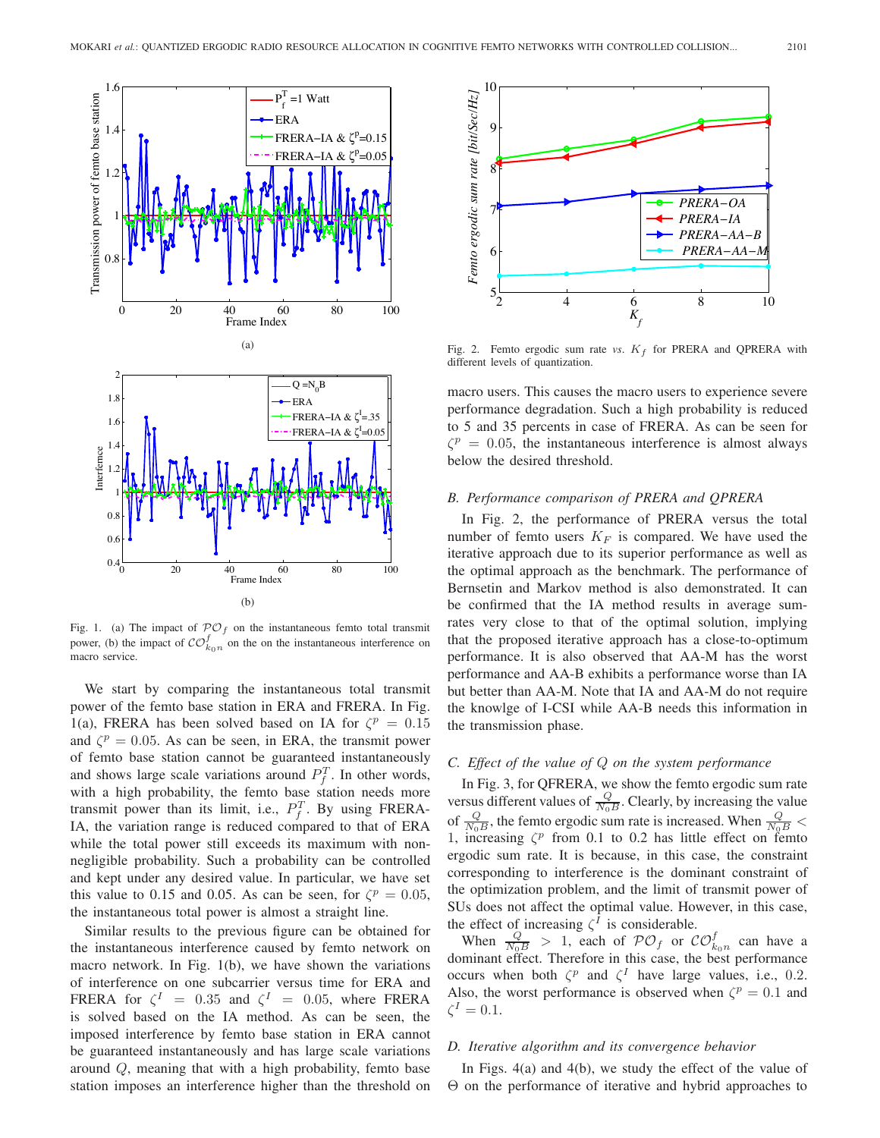

Fig. 1. (a) The impact of  $PO_f$  on the instantaneous femto total transmit power, (b) the impact of  $\mathcal{CO}_{k_0n}^j$  on the on the instantaneous interference on macro service macro service.

We start by comparing the instantaneous total transmit power of the femto base station in ERA and FRERA. In Fig. 1(a), FRERA has been solved based on IA for  $\zeta^p = 0.15$ and  $\zeta^p = 0.05$ . As can be seen, in ERA, the transmit power of femto base station cannot be guaranteed instantaneously and shows large scale variations around  $P_f^T$ . In other words, with a high probability, the femto base station needs more transmit power than its limit, i.e.,  $P_f^T$ . By using FRERA-IA, the variation range is reduced compared to that of ERA while the total power still exceeds its maximum with nonnegligible probability. Such a probability can be controlled and kept under any desired value. In particular, we have set this value to 0.15 and 0.05. As can be seen, for  $\zeta^p = 0.05$ , the instantaneous total power is almost a straight line.

Similar results to the previous figure can be obtained for the instantaneous interference caused by femto network on macro network. In Fig. 1(b), we have shown the variations of interference on one subcarrier versus time for ERA and FRERA for  $\zeta^I$  = 0.35 and  $\zeta^I$  = 0.05, where FRERA is solved based on the IA method. As can be seen, the imposed interference by femto base station in ERA cannot be guaranteed instantaneously and has large scale variations around Q, meaning that with a high probability, femto base station imposes an interference higher than the threshold on



Fig. 2. Femto ergodic sum rate *vs.*  $K_f$  for PRERA and QPRERA with different levels of quantization.

macro users. This causes the macro users to experience severe performance degradation. Such a high probability is reduced to 5 and 35 percents in case of FRERA. As can be seen for  $\zeta^p = 0.05$ , the instantaneous interference is almost always below the desired threshold.

## *B. Performance comparison of PRERA and QPRERA*

In Fig. 2, the performance of PRERA versus the total number of femto users  $K_F$  is compared. We have used the iterative approach due to its superior performance as well as the optimal approach as the benchmark. The performance of Bernsetin and Markov method is also demonstrated. It can be confirmed that the IA method results in average sumrates very close to that of the optimal solution, implying that the proposed iterative approach has a close-to-optimum performance. It is also observed that AA-M has the worst performance and AA-B exhibits a performance worse than IA but better than AA-M. Note that IA and AA-M do not require the knowlge of I-CSI while AA-B needs this information in the transmission phase.

#### *C. Effect of the value of* Q *on the system performance*

In Fig. 3, for QFRERA, we show the femto ergodic sum rate versus different values of  $\frac{Q}{N_0 B}$ . Clearly, by increasing the value of  $\frac{Q}{N_0 B}$ , the femto ergodic sum rate is increased. When  $\frac{Q}{N_0 B}$  < 1, increasing  $\zeta^p$  from 0.1 to 0.2 has little effect on femto ergodic sum rate. It is because, in this case, the constraint corresponding to interference is the dominant constraint of the optimization problem, and the limit of transmit power of SUs does not affect the optimal value. However, in this case, the effect of increasing  $\zeta^I$  is considerable.

When  $\frac{Q}{N_0 B} > 1$ , each of  $PO_f$  or  $CO_{k_0 n}^f$  can have a minimum effect. Therefore in this case, the best performance dominant effect. Therefore in this case, the best performance occurs when both  $\zeta^p$  and  $\zeta^I$  have large values, i.e., 0.2. Also, the worst performance is observed when  $\zeta^p = 0.1$  and  $\zeta^I=0.1$ .

## *D. Iterative algorithm and its convergence behavior*

In Figs. 4(a) and 4(b), we study the effect of the value of Θ on the performance of iterative and hybrid approaches to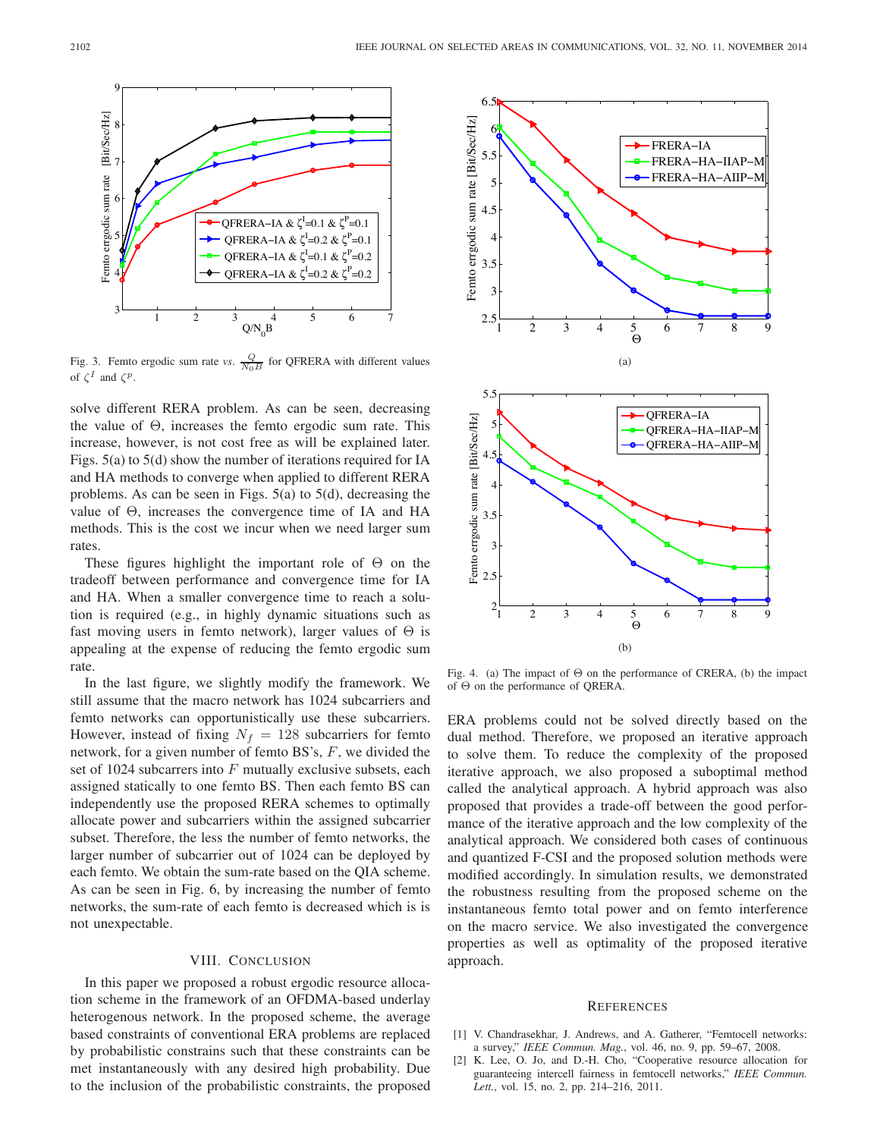

Fig. 3. Femto ergodic sum rate *vs.*  $\frac{Q}{N_0 B}$  for QFRERA with different values of  $\zeta^I$  and  $\zeta^p$ of  $\zeta^I$  and  $\zeta^p$ .

solve different RERA problem. As can be seen, decreasing the value of Θ, increases the femto ergodic sum rate. This increase, however, is not cost free as will be explained later. Figs. 5(a) to 5(d) show the number of iterations required for IA and HA methods to converge when applied to different RERA problems. As can be seen in Figs. 5(a) to 5(d), decreasing the value of Θ, increases the convergence time of IA and HA methods. This is the cost we incur when we need larger sum rates.

These figures highlight the important role of  $\Theta$  on the tradeoff between performance and convergence time for IA and HA. When a smaller convergence time to reach a solution is required (e.g., in highly dynamic situations such as fast moving users in femto network), larger values of  $\Theta$  is appealing at the expense of reducing the femto ergodic sum rate.

In the last figure, we slightly modify the framework. We still assume that the macro network has 1024 subcarriers and femto networks can opportunistically use these subcarriers. However, instead of fixing  $N_f = 128$  subcarriers for femto network, for a given number of femto BS's, F, we divided the set of 1024 subcarrers into  $F$  mutually exclusive subsets, each assigned statically to one femto BS. Then each femto BS can independently use the proposed RERA schemes to optimally allocate power and subcarriers within the assigned subcarrier subset. Therefore, the less the number of femto networks, the larger number of subcarrier out of 1024 can be deployed by each femto. We obtain the sum-rate based on the QIA scheme. As can be seen in Fig. 6, by increasing the number of femto networks, the sum-rate of each femto is decreased which is is not unexpectable.

## VIII. CONCLUSION

In this paper we proposed a robust ergodic resource allocation scheme in the framework of an OFDMA-based underlay heterogenous network. In the proposed scheme, the average based constraints of conventional ERA problems are replaced by probabilistic constrains such that these constraints can be met instantaneously with any desired high probability. Due to the inclusion of the probabilistic constraints, the proposed



Fig. 4. (a) The impact of  $\Theta$  on the performance of CRERA, (b) the impact of Θ on the performance of QRERA.

ERA problems could not be solved directly based on the dual method. Therefore, we proposed an iterative approach to solve them. To reduce the complexity of the proposed iterative approach, we also proposed a suboptimal method called the analytical approach. A hybrid approach was also proposed that provides a trade-off between the good performance of the iterative approach and the low complexity of the analytical approach. We considered both cases of continuous and quantized F-CSI and the proposed solution methods were modified accordingly. In simulation results, we demonstrated the robustness resulting from the proposed scheme on the instantaneous femto total power and on femto interference on the macro service. We also investigated the convergence properties as well as optimality of the proposed iterative approach.

#### **REFERENCES**

- [1] V. Chandrasekhar, J. Andrews, and A. Gatherer, "Femtocell networks: a survey," *IEEE Commun. Mag.*, vol. 46, no. 9, pp. 59–67, 2008.
- [2] K. Lee, O. Jo, and D.-H. Cho, "Cooperative resource allocation for guaranteeing intercell fairness in femtocell networks," *IEEE Commun. Lett.*, vol. 15, no. 2, pp. 214–216, 2011.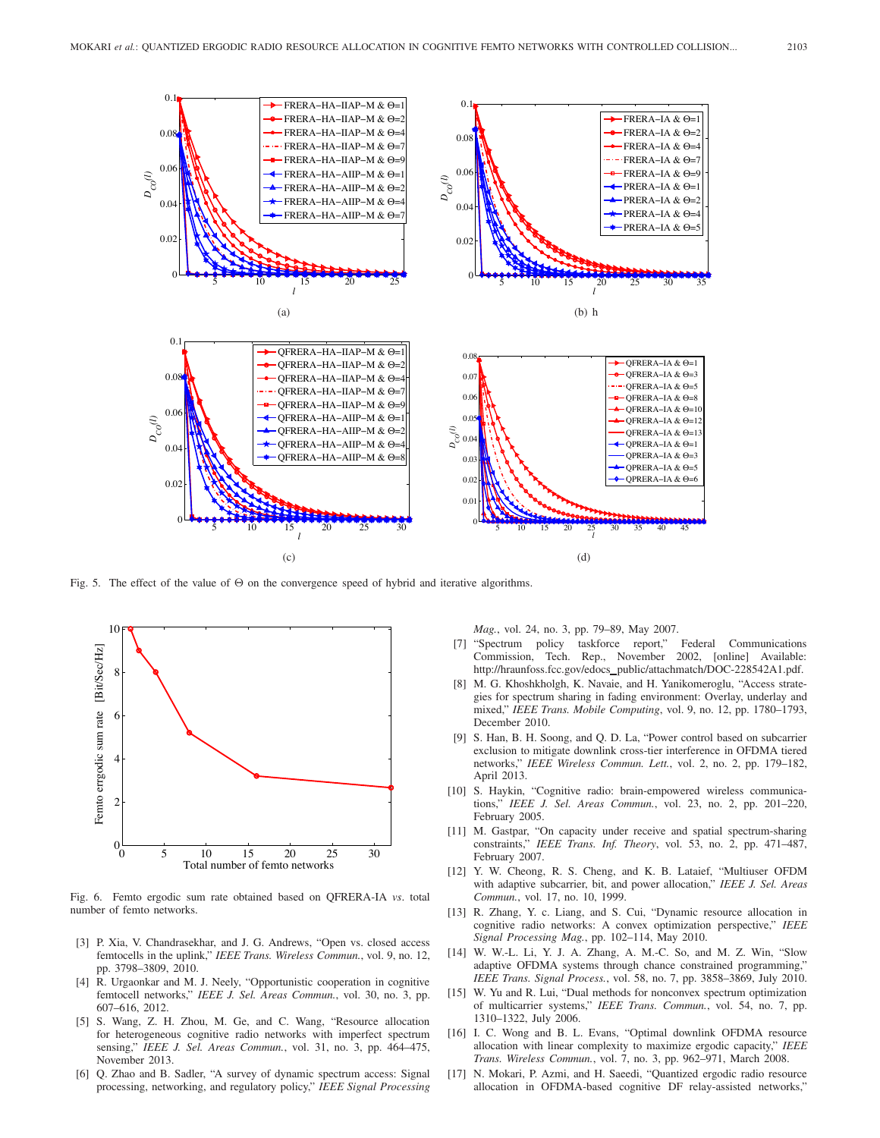

Fig. 5. The effect of the value of Θ on the convergence speed of hybrid and iterative algorithms.



Fig. 6. Femto ergodic sum rate obtained based on QFRERA-IA *vs*. total number of femto networks.

- [3] P. Xia, V. Chandrasekhar, and J. G. Andrews, "Open vs. closed access femtocells in the uplink," *IEEE Trans. Wireless Commun.*, vol. 9, no. 12, pp. 3798–3809, 2010.
- [4] R. Urgaonkar and M. J. Neely, "Opportunistic cooperation in cognitive femtocell networks," *IEEE J. Sel. Areas Commun.*, vol. 30, no. 3, pp. 607–616, 2012.
- [5] S. Wang, Z. H. Zhou, M. Ge, and C. Wang, "Resource allocation for heterogeneous cognitive radio networks with imperfect spectrum sensing," *IEEE J. Sel. Areas Commun.*, vol. 31, no. 3, pp. 464–475, November 2013.
- [6] Q. Zhao and B. Sadler, "A survey of dynamic spectrum access: Signal processing, networking, and regulatory policy," *IEEE Signal Processing*

*Mag.*, vol. 24, no. 3, pp. 79–89, May 2007.

- [7] "Spectrum policy taskforce report," Federal Communications Commission, Tech. Rep., November 2002, [online] Available: http://hraunfoss.fcc.gov/edocs public/attachmatch/DOC-228542A1.pdf.
- [8] M. G. Khoshkholgh, K. Navaie, and H. Yanikomeroglu, "Access strategies for spectrum sharing in fading environment: Overlay, underlay and mixed," *IEEE Trans. Mobile Computing*, vol. 9, no. 12, pp. 1780–1793, December 2010.
- [9] S. Han, B. H. Soong, and Q. D. La, "Power control based on subcarrier exclusion to mitigate downlink cross-tier interference in OFDMA tiered networks," *IEEE Wireless Commun. Lett.*, vol. 2, no. 2, pp. 179–182, April 2013.
- [10] S. Haykin, "Cognitive radio: brain-empowered wireless communications," *IEEE J. Sel. Areas Commun.*, vol. 23, no. 2, pp. 201–220, February 2005.
- [11] M. Gastpar, "On capacity under receive and spatial spectrum-sharing constraints," *IEEE Trans. Inf. Theory*, vol. 53, no. 2, pp. 471–487, February 2007.
- [12] Y. W. Cheong, R. S. Cheng, and K. B. Lataief, "Multiuser OFDM with adaptive subcarrier, bit, and power allocation," *IEEE J. Sel. Areas Commun.*, vol. 17, no. 10, 1999.
- [13] R. Zhang, Y. c. Liang, and S. Cui, "Dynamic resource allocation in cognitive radio networks: A convex optimization perspective," *IEEE Signal Processing Mag.*, pp. 102–114, May 2010.
- [14] W. W.-L. Li, Y. J. A. Zhang, A. M.-C. So, and M. Z. Win, "Slow adaptive OFDMA systems through chance constrained programming," *IEEE Trans. Signal Process.*, vol. 58, no. 7, pp. 3858–3869, July 2010.
- [15] W. Yu and R. Lui, "Dual methods for nonconvex spectrum optimization of multicarrier systems," *IEEE Trans. Commun.*, vol. 54, no. 7, pp. 1310–1322, July 2006.
- [16] I. C. Wong and B. L. Evans, "Optimal downlink OFDMA resource allocation with linear complexity to maximize ergodic capacity," *IEEE Trans. Wireless Commun.*, vol. 7, no. 3, pp. 962–971, March 2008.
- [17] N. Mokari, P. Azmi, and H. Saeedi, "Quantized ergodic radio resource allocation in OFDMA-based cognitive DF relay-assisted networks,"